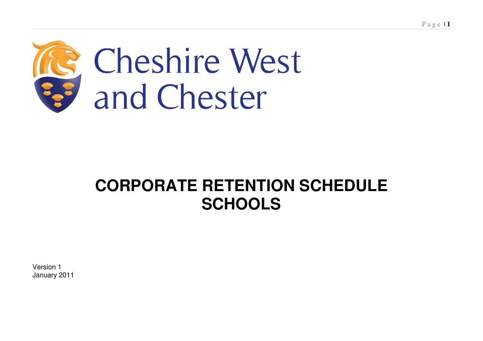

# **CORPORATE RETENTION SCHEDULE SCHOOLS**

Version 1 January 2011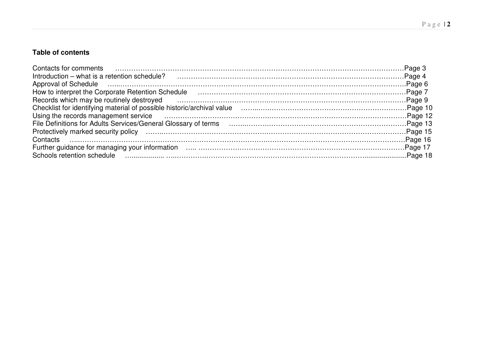#### P <sup>a</sup> g <sup>e</sup> | **2**

#### **Table of contents**

| Contacts for comments <b>contacts</b> and <b>contacts</b> for comments and contacts for comments <b>contacts</b> for comments <b>contacts</b> $\frac{1}{2}$                                                                         |  |
|-------------------------------------------------------------------------------------------------------------------------------------------------------------------------------------------------------------------------------------|--|
|                                                                                                                                                                                                                                     |  |
|                                                                                                                                                                                                                                     |  |
| How to interpret the Corporate Retention Schedule (Mathematic material contracts and all page 7                                                                                                                                     |  |
| Records which may be routinely destroyed <b>constructed</b> and constructed and a proportional construction of a page 9                                                                                                             |  |
|                                                                                                                                                                                                                                     |  |
| Using the records management service <i>manufactured contained as a contained a contained a contained a contained to</i>                                                                                                            |  |
|                                                                                                                                                                                                                                     |  |
|                                                                                                                                                                                                                                     |  |
|                                                                                                                                                                                                                                     |  |
|                                                                                                                                                                                                                                     |  |
| Schools retention schedule <b>constructed</b> and construction of the construction of the construction of the construction of the construction of the construction of the construction of the construction of the construction of t |  |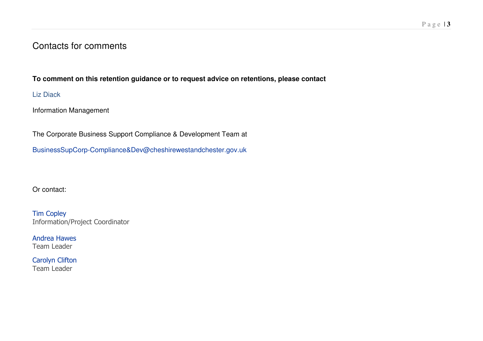## Contacts for comments

#### **To comment on this retention guidance or to request advice on retentions, please contact**

Liz Diack

Information Management

The Corporate Business Support Compliance & Development Team at

BusinessSupCorp-Compliance&Dev@cheshirewestandchester.gov.uk

Or contact:

**Tim Copley** Information/Project Coordinator

**Andrea Hawes** Team Leader

Carolyn Clifton Team Leader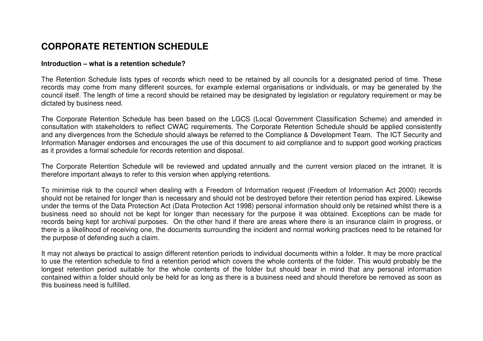# **CORPORATE RETENTION SCHEDULE**

#### **Introduction – what is a retention schedule?**

The Retention Schedule lists types of records which need to be retained by all councils for <sup>a</sup> designated period of time. These records may come from many different sources, for example external organisations or individuals, or may be generated by the council itself. The length of time <sup>a</sup> record should be retained may be designated by legislation or regulatory requirement or may be dictated by business need.

The Corporate Retention Schedule has been based on the LGCS (Local Government Classification Scheme) and amended in consultation with stakeholders to reflect CWAC requirements. The Corporate Retention Schedule should be applied consistently and any divergences from the Schedule should always be referred to the Compliance & Development Team. The ICT Security and Information Manager endorses and encourages the use of this document to aid compliance and to support good working practices as it provides <sup>a</sup> formal schedule for records retention and disposal.

The Corporate Retention Schedule will be reviewed and updated annually and the current version placed on the intranet. It is therefore important always to refer to this version when applying retentions.

To minimise risk to the council when dealing with <sup>a</sup> Freedom of Information request (Freedom of Information Act 2000) records should not be retained for longer than is necessary and should not be destroyed before their retention period has expired. Likewise under the terms of the Data Protection Act (Data Protection Act 1998) personal information should only be retained whilst there is <sup>a</sup> business need so should not be kept for longer than necessary for the purpose it was obtained. Exceptions can be made for records being kept for archival purposes. On the other hand if there are areas where there is an insurance claim in progress, or there is <sup>a</sup> likelihood of receiving one, the documents surrounding the incident and normal working practices need to be retained for the purpose of defending such <sup>a</sup> claim.

It may not always be practical to assign different retention periods to individual documents within <sup>a</sup> folder. It may be more practical to use the retention schedule to find <sup>a</sup> retention period which covers the whole contents of the folder. This would probably be the longest retention period suitable for the whole contents of the folder but should bear in mind that any personal information contained within <sup>a</sup> folder should only be held for as long as there is <sup>a</sup> business need and should therefore be removed as soon as this business need is fulfilled.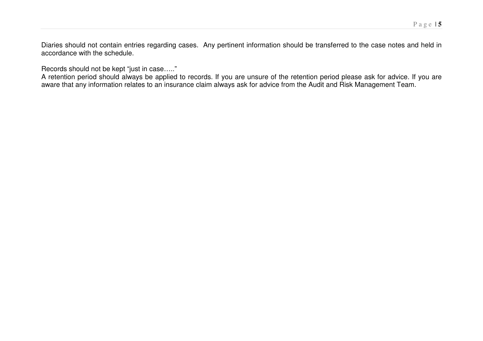Diaries should not contain entries regarding cases. Any pertinent information should be transferred to the case notes and held in accordance with the schedule.

Records should not be kept "just in case….."

A retention period should always be applied to records. If you are unsure of the retention period please ask for advice. If you are aware that any information relates to an insurance claim always ask for advice from the Audit and Risk Management Team.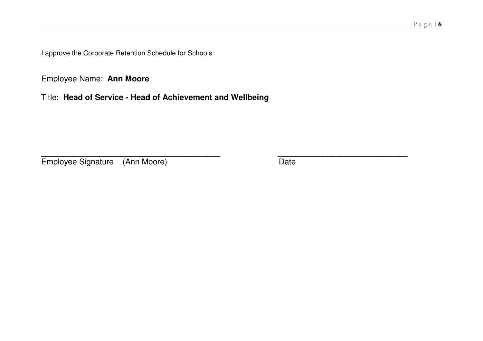approve the Corporate Retention Schedule for Schools:

Employee Name: **Ann Moore**

Title: **Head of Service - Head of Achievement and Wellbeing**

\_\_\_\_\_\_\_\_\_\_\_\_\_\_\_\_\_\_\_\_\_\_\_\_\_\_\_\_\_\_\_\_\_\_\_\_\_\_\_\_ \_\_\_\_\_\_\_\_\_\_\_\_\_\_\_\_\_\_\_\_\_\_\_\_\_\_\_\_\_ Employee Signature (Ann Moore) Date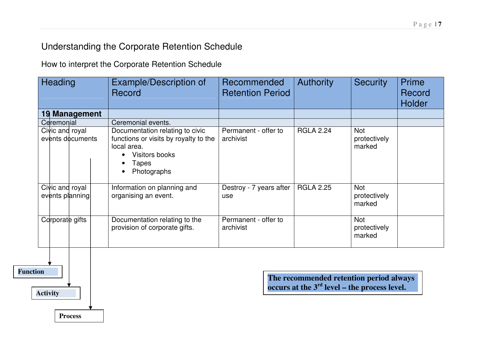# Understanding the Corporate Retention Schedule

How to interpret the Corporate Retention Schedule

| <b>Heading</b>                      | Example/Description of<br>Record                                                                                                  | Recommended<br><b>Retention Period</b> | <b>Authority</b> | <b>Security</b>                      | Prime<br>Record<br><b>Holder</b> |
|-------------------------------------|-----------------------------------------------------------------------------------------------------------------------------------|----------------------------------------|------------------|--------------------------------------|----------------------------------|
| 19 Management                       |                                                                                                                                   |                                        |                  |                                      |                                  |
| Ceremonial                          | Ceremonial events.                                                                                                                |                                        |                  |                                      |                                  |
| Civic and royal<br>events documents | Documentation relating to civic<br>functions or visits by royalty to the<br>local area.<br>Visitors books<br>Tapes<br>Photographs | Permanent - offer to<br>archivist      | <b>RGLA 2.24</b> | <b>Not</b><br>protectively<br>marked |                                  |
| Civic and royal<br>events planning  | Information on planning and<br>organising an event.                                                                               | Destroy - 7 years after<br>use         | <b>RGLA 2.25</b> | <b>Not</b><br>protectively<br>marked |                                  |
| Corporate gifts                     | Documentation relating to the<br>provision of corporate gifts.                                                                    | Permanent - offer to<br>archivist      |                  | <b>Not</b><br>protectively<br>marked |                                  |



**The recommended retention period always occurs at the 3rd level – the process level.**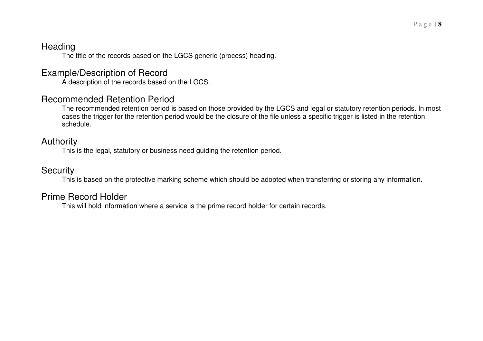## **Heading**

The title of the records based on the LGCS generic (process) heading.

# Example/Description of Record

A description of the records based on the LGCS.

# Recommended Retention Period

The recommended retention period is based on those provided by the LGCS and legal or statutory retention periods. In most cases the trigger for the retention period would be the closure of the file unless <sup>a</sup> specific trigger is listed in the retention schedule.

# Authority

This is the legal, statutory or business need guiding the retention period.

# **Security**

This is based on the protective marking scheme which should be adopted when transferring or storing any information.

# Prime Record Holder

This will hold information where <sup>a</sup> service is the prime record holder for certain records.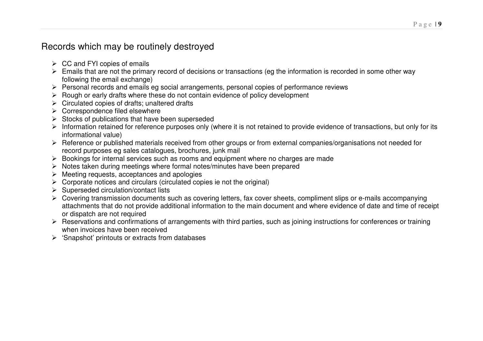# Records which may be routinely destroyed

- $\triangleright$  CC and FYI copies of emails
- Emails that are not the primary record of decisions or transactions (eg the information is recorded in some other way following the email exchange)
- $\triangleright$  Personal records and emails eg social arrangements, personal copies of performance reviews
- $\triangleright$  Rough or early drafts where these do not contain evidence of policy development
- $\triangleright$  Circulated copies of drafts; unaltered drafts
- $\triangleright$  Correspondence filed elsewhere
- $\triangleright$  Stocks of publications that have been superseded
- $\triangleright$  Information retained for reference purposes only (where it is not retained to provide evidence of transactions, but only for its informational value)
- Reference or published materials received from other groups or from external companies/organisations not needed for record purposes eg sales catalogues, brochures, junk mail
- Bookings for internal services such as rooms and equipment where no charges are made
- $\triangleright$  Notes taken during meetings where formal notes/minutes have been prepared
- $\triangleright$  Meeting requests, acceptances and apologies
- $\triangleright$  Corporate notices and circulars (circulated copies ie not the original)
- $\triangleright$  Superseded circulation/contact lists
- Covering transmission documents such as covering letters, fax cover sheets, compliment slips or e-mails accompanying attachments that do not provide additional information to the main document and where evidence of date and time of receipt or dispatch are not required
- Reservations and confirmations of arrangements with third parties, such as joining instructions for conferences or training when invoices have been received
- $\triangleright$  'Snapshot' printouts or extracts from databases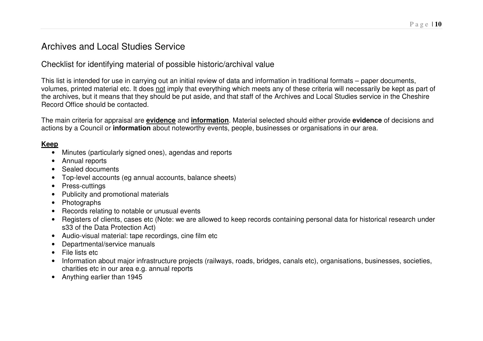# Archives and Local Studies Service

Checklist for identifying material of possible historic/archival value

This list is intended for use in carrying out an initial review of data and information in traditional formats – paper documents, volumes, printed material etc. It does not imply that everything which meets any of these criteria will necessarily be kept as part of the archives, but it means that they should be put aside, and that staff of the Archives and Local Studies service in the Cheshire Record Office should be contacted.

The main criteria for appraisal are **evidence** and **information**. Material selected should either provide **evidence** of decisions and actions by <sup>a</sup> Council or **information** about noteworthy events, people, businesses or organisations in our area.

#### **Keep**

- Minutes (particularly signed ones), agendas and reports
- Annual reports
- Sealed documents
- Top-level accounts (eg annual accounts, balance sheets)
- Press-cuttings
- Publicity and promotional materials
- Photographs
- Records relating to notable or unusual events
- Registers of clients, cases etc (Note: we are allowed to keep records containing personal data for historical research under s33 of the Data Protection Act)
- Audio-visual material: tape recordings, cine film etc
- •Departmental/service manuals
- File lists etc
- Information about major infrastructure projects (railways, roads, bridges, canals etc), organisations, businesses, societies, charities etc in our area e.g. annual reports
- Anything earlier than 1945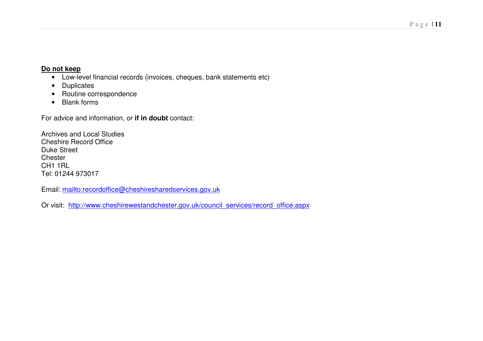#### **Do not keep**

- Low-level financial records (invoices, cheques, bank statements etc)
- Duplicates
- Routine correspondence
- Blank forms

For advice and information, or **if in doubt** contact:

Archives and Local Studies Cheshire Record Office Duke Street **Chester** CH1 1RL Tel: 01244 973017

Email: mailto:recordoffice@cheshiresharedservices.gov.uk

Or visit: <u>http://www.cheshirewestandchester.gov.uk/council\_services/record\_office.aspx</u>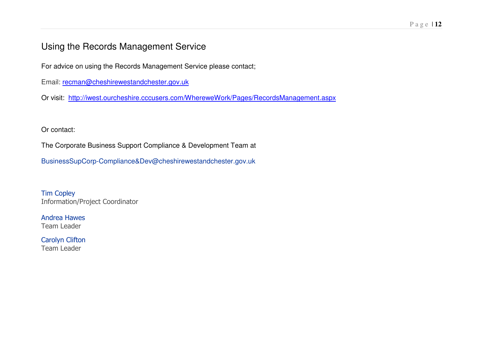# Using the Records Management Service

For advice on using the Records Management Service please contact;

Email: <u>recman@cheshirewestandchester.gov.uk</u>

Or visit: <u>http://iwest.ourcheshire.cccusers.com/WhereweWork/Pages/RecordsManagement.aspx</u>

Or contact:

The Corporate Business Support Compliance & Development Team at

BusinessSupCorp-Compliance&Dev@cheshirewestandchester.gov.uk

**Tim Copley** Information/Project Coordinator

**Andrea Hawes** Team Leader

Carolyn Clifton Team Leader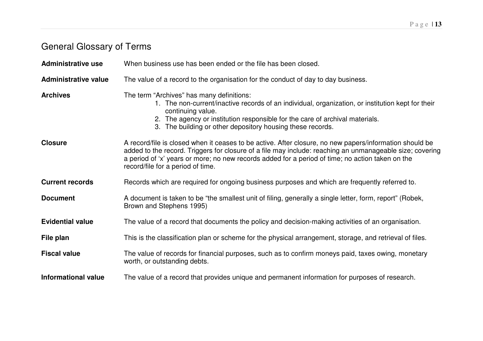# General Glossary of Terms

| <b>Administrative use</b>   | When business use has been ended or the file has been closed.                                                                                                                                                                                                                                                                                                |
|-----------------------------|--------------------------------------------------------------------------------------------------------------------------------------------------------------------------------------------------------------------------------------------------------------------------------------------------------------------------------------------------------------|
| <b>Administrative value</b> | The value of a record to the organisation for the conduct of day to day business.                                                                                                                                                                                                                                                                            |
| <b>Archives</b>             | The term "Archives" has many definitions:<br>1. The non-current/inactive records of an individual, organization, or institution kept for their<br>continuing value.<br>2. The agency or institution responsible for the care of archival materials.<br>3. The building or other depository housing these records.                                            |
| <b>Closure</b>              | A record/file is closed when it ceases to be active. After closure, no new papers/information should be<br>added to the record. Triggers for closure of a file may include: reaching an unmanageable size; covering<br>a period of 'x' years or more; no new records added for a period of time; no action taken on the<br>record/file for a period of time. |
| <b>Current records</b>      | Records which are required for ongoing business purposes and which are frequently referred to.                                                                                                                                                                                                                                                               |
| <b>Document</b>             | A document is taken to be "the smallest unit of filing, generally a single letter, form, report" (Robek,<br>Brown and Stephens 1995)                                                                                                                                                                                                                         |
| <b>Evidential value</b>     | The value of a record that documents the policy and decision-making activities of an organisation.                                                                                                                                                                                                                                                           |
| File plan                   | This is the classification plan or scheme for the physical arrangement, storage, and retrieval of files.                                                                                                                                                                                                                                                     |
| <b>Fiscal value</b>         | The value of records for financial purposes, such as to confirm moneys paid, taxes owing, monetary<br>worth, or outstanding debts.                                                                                                                                                                                                                           |
| <b>Informational value</b>  | The value of a record that provides unique and permanent information for purposes of research.                                                                                                                                                                                                                                                               |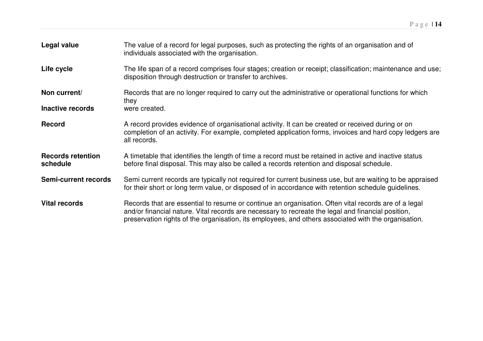| Legal value                          | The value of a record for legal purposes, such as protecting the rights of an organisation and of<br>individuals associated with the organisation.                                                                                                                                                                 |
|--------------------------------------|--------------------------------------------------------------------------------------------------------------------------------------------------------------------------------------------------------------------------------------------------------------------------------------------------------------------|
| Life cycle                           | The life span of a record comprises four stages; creation or receipt; classification; maintenance and use;<br>disposition through destruction or transfer to archives.                                                                                                                                             |
| Non current/                         | Records that are no longer required to carry out the administrative or operational functions for which<br>they                                                                                                                                                                                                     |
| Inactive records                     | were created.                                                                                                                                                                                                                                                                                                      |
| <b>Record</b>                        | A record provides evidence of organisational activity. It can be created or received during or on<br>completion of an activity. For example, completed application forms, invoices and hard copy ledgers are<br>all records.                                                                                       |
| <b>Records retention</b><br>schedule | A timetable that identifies the length of time a record must be retained in active and inactive status<br>before final disposal. This may also be called a records retention and disposal schedule.                                                                                                                |
| <b>Semi-current records</b>          | Semi current records are typically not required for current business use, but are waiting to be appraised<br>for their short or long term value, or disposed of in accordance with retention schedule guidelines.                                                                                                  |
| <b>Vital records</b>                 | Records that are essential to resume or continue an organisation. Often vital records are of a legal<br>and/or financial nature. Vital records are necessary to recreate the legal and financial position,<br>preservation rights of the organisation, its employees, and others associated with the organisation. |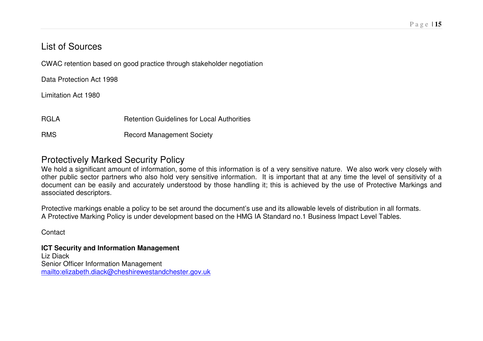# List of Sources

CWAC retention based on good practice through stakeholder negotiation

Data Protection Act 1998

Limitation Act 1980

RGLARetention Guidelines for Local Authorities

RMSRecord Management Society

### Protectively Marked Security Policy

We hold <sup>a</sup> significant amount of information, some of this information is of <sup>a</sup> very sensitive nature. We also work very closely with other public sector partners who also hold very sensitive information. It is important that at any time the level of sensitivity of <sup>a</sup> document can be easily and accurately understood by those handling it; this is achieved by the use of Protective Markings and associated descriptors.

Protective markings enable <sup>a</sup> policy to be set around the document's use and its allowable levels of distribution in all formats. A Protective Marking Policy is under development based on the HMG IA Standard no.1 Business Impact Level Tables.

**Contact** 

**ICT Security and Information Management** Liz Diack Senior Officer Information Management mailto:elizabeth.diack@cheshirewestandchester.gov.uk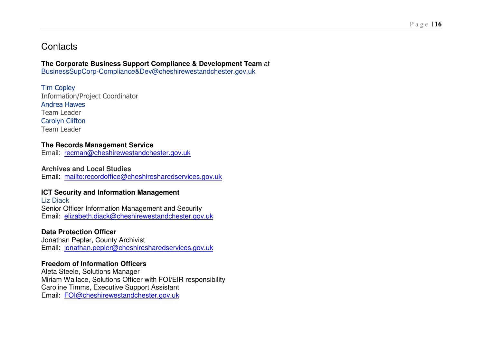### **Contacts**

#### **The Corporate Business Support Compliance & Development Team** at

BusinessSupCorp-Compliance&Dev@cheshirewestandchester.gov.uk

**Tim Copley** Information/Project Coordinator **Andrea Hawes** Team Leader Carolyn Clifton Team Leader

#### **The Records Management Service**

Email: <u>recman@cheshirewestandchester.gov.uk</u>

**Archives and Local Studies** Email: mailto:recordoffice@cheshiresharedservices.gov.uk

#### **ICT Security and Information Management**

Liz Diack Senior Officer Information Management and Security Email: elizabeth.diack@cheshirewestandchester.gov.uk

#### **Data Protection Officer**

Jonathan Pepler, County Archivist Email: <u>jonathan.pepler@cheshiresharedservices.gov.uk</u>

#### **Freedom of Information Officers**

Aleta Steele, Solutions Manager Miriam Wallace, Solutions Officer with FOI/EIR responsibility Caroline Timms, Executive Support Assistant Email: <u>FOI@cheshirewestandchester.gov.uk</u>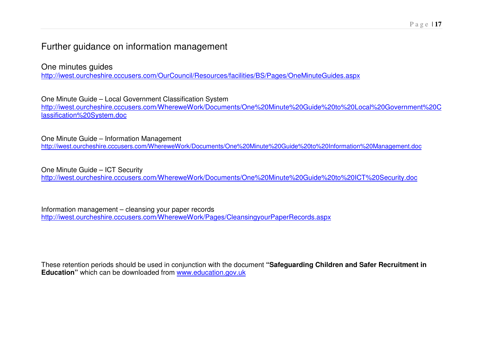# Further guidance on information management

One minutes guides http://iwest.ourcheshire.cccusers.com/OurCouncil/Resources/facilities/BS/Pages/OneMinuteGuides.aspx

One Minute Guide – Local Government Classification System http://iwest.ourcheshire.cccusers.com/WhereweWork/Documents/One%20Minute%20Guide%20to%20Local%20Government%20C lassification%20System.doc

One Minute Guide – Information Management http://iwest.ourcheshire.cccusers.com/WhereweWork/Documents/One%20Minute%20Guide%20to%20Information%20Management.doc

One Minute Guide – ICT Security http://iwest.ourcheshire.cccusers.com/WhereweWork/Documents/One%20Minute%20Guide%20to%20ICT%20Security.doc

Information management – cleansing your paper records http://iwest.ourcheshire.cccusers.com/WhereweWork/Pages/CleansingyourPaperRecords.aspx

These retention periods should be used in conjunction with the document **"Safeguarding Children and Safer Recruitment in Education"** which can be downloaded from www.education.gov.uk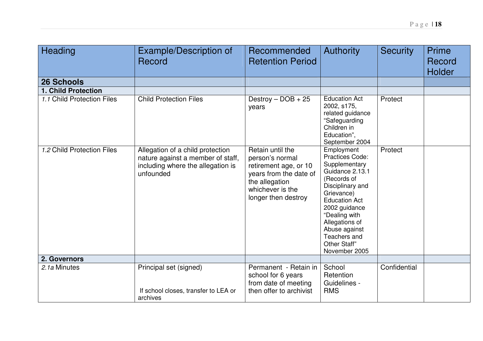| Heading                    | Example/Description of<br>Record                                                                                        | Recommended<br><b>Retention Period</b>                                                                                                              | <b>Authority</b>                                                                                                                                                                                                                                                 | <b>Security</b> | Prime<br>Record<br><b>Holder</b> |
|----------------------------|-------------------------------------------------------------------------------------------------------------------------|-----------------------------------------------------------------------------------------------------------------------------------------------------|------------------------------------------------------------------------------------------------------------------------------------------------------------------------------------------------------------------------------------------------------------------|-----------------|----------------------------------|
| <b>26 Schools</b>          |                                                                                                                         |                                                                                                                                                     |                                                                                                                                                                                                                                                                  |                 |                                  |
| <b>1. Child Protection</b> |                                                                                                                         |                                                                                                                                                     |                                                                                                                                                                                                                                                                  |                 |                                  |
| 1.1 Child Protection Files | <b>Child Protection Files</b>                                                                                           | Destroy $-$ DOB $+$ 25<br>years                                                                                                                     | <b>Education Act</b><br>2002, s175,<br>related guidance<br>"Safeguarding<br>Children in<br>Education",<br>September 2004                                                                                                                                         | Protect         |                                  |
| 1.2 Child Protection Files | Allegation of a child protection<br>nature against a member of staff,<br>including where the allegation is<br>unfounded | Retain until the<br>person's normal<br>retirement age, or 10<br>years from the date of<br>the allegation<br>whichever is the<br>longer then destroy | Employment<br>Practices Code:<br>Supplementary<br>Guidance 2.13.1<br>(Records of<br>Disciplinary and<br>Grievance)<br><b>Education Act</b><br>2002 guidance<br>"Dealing with<br>Allegations of<br>Abuse against<br>Teachers and<br>Other Staff"<br>November 2005 | Protect         |                                  |
| 2. Governors               |                                                                                                                         |                                                                                                                                                     |                                                                                                                                                                                                                                                                  |                 |                                  |
| 2.1a Minutes               | Principal set (signed)<br>If school closes, transfer to LEA or<br>archives                                              | Permanent - Retain in<br>school for 6 years<br>from date of meeting<br>then offer to archivist                                                      | School<br>Retention<br>Guidelines -<br><b>RMS</b>                                                                                                                                                                                                                | Confidential    |                                  |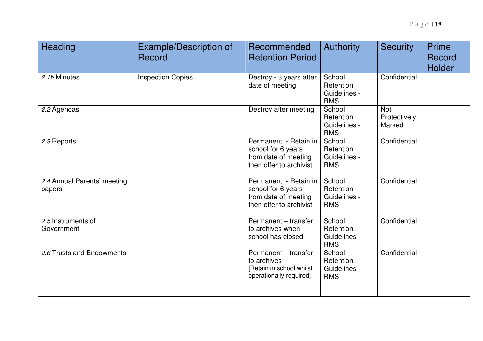| Heading                               | <b>Example/Description of</b><br>Record | Recommended<br><b>Retention Period</b>                                                         | Authority                                         | <b>Security</b>                      | Prime<br>Record<br><b>Holder</b> |
|---------------------------------------|-----------------------------------------|------------------------------------------------------------------------------------------------|---------------------------------------------------|--------------------------------------|----------------------------------|
| 2.1b Minutes                          | <b>Inspection Copies</b>                | Destroy - 3 years after<br>date of meeting                                                     | School<br>Retention<br>Guidelines -<br><b>RMS</b> | Confidential                         |                                  |
| 2.2 Agendas                           |                                         | Destroy after meeting                                                                          | School<br>Retention<br>Guidelines -<br><b>RMS</b> | <b>Not</b><br>Protectively<br>Marked |                                  |
| 2.3 Reports                           |                                         | Permanent - Retain in<br>school for 6 years<br>from date of meeting<br>then offer to archivist | School<br>Retention<br>Guidelines -<br><b>RMS</b> | Confidential                         |                                  |
| 2.4 Annual Parents' meeting<br>papers |                                         | Permanent - Retain in<br>school for 6 years<br>from date of meeting<br>then offer to archivist | School<br>Retention<br>Guidelines -<br><b>RMS</b> | Confidential                         |                                  |
| 2.5 Instruments of<br>Government      |                                         | Permanent - transfer<br>to archives when<br>school has closed                                  | School<br>Retention<br>Guidelines -<br><b>RMS</b> | Confidential                         |                                  |
| 2.6 Trusts and Endowments             |                                         | Permanent - transfer<br>to archives<br>[Retain in school whilst<br>operationally required]     | School<br>Retention<br>Guidelines-<br><b>RMS</b>  | Confidential                         |                                  |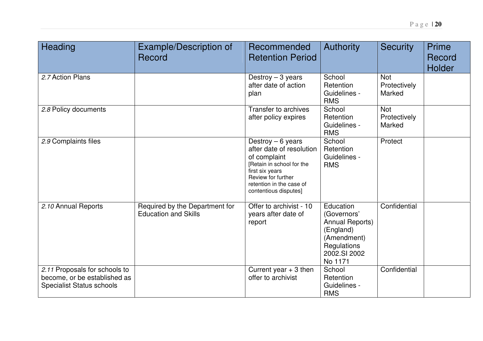| Heading                                                                                           | Example/Description of<br>Record                              | Recommended<br><b>Retention Period</b>                                                                                                                                                    | Authority                                                                                                         | <b>Security</b>                      | Prime<br>Record<br><b>Holder</b> |
|---------------------------------------------------------------------------------------------------|---------------------------------------------------------------|-------------------------------------------------------------------------------------------------------------------------------------------------------------------------------------------|-------------------------------------------------------------------------------------------------------------------|--------------------------------------|----------------------------------|
| 2.7 Action Plans                                                                                  |                                                               | Destroy $-3$ years<br>after date of action<br>plan                                                                                                                                        | School<br>Retention<br>Guidelines -<br><b>RMS</b>                                                                 | <b>Not</b><br>Protectively<br>Marked |                                  |
| 2.8 Policy documents                                                                              |                                                               | Transfer to archives<br>after policy expires                                                                                                                                              | School<br>Retention<br>Guidelines -<br><b>RMS</b>                                                                 | <b>Not</b><br>Protectively<br>Marked |                                  |
| 2.9 Complaints files                                                                              |                                                               | Destroy $-6$ years<br>after date of resolution<br>of complaint<br>[Retain in school for the<br>first six years<br>Review for further<br>retention in the case of<br>contentious disputes] | School<br>Retention<br>Guidelines -<br><b>RMS</b>                                                                 | Protect                              |                                  |
| 2.10 Annual Reports                                                                               | Required by the Department for<br><b>Education and Skills</b> | Offer to archivist - 10<br>years after date of<br>report                                                                                                                                  | Education<br>(Governors'<br>Annual Reports)<br>(England)<br>(Amendment)<br>Regulations<br>2002.SI 2002<br>No 1171 | Confidential                         |                                  |
| 2.11 Proposals for schools to<br>become, or be established as<br><b>Specialist Status schools</b> |                                                               | Current year $+3$ then<br>offer to archivist                                                                                                                                              | School<br>Retention<br>Guidelines -<br><b>RMS</b>                                                                 | Confidential                         |                                  |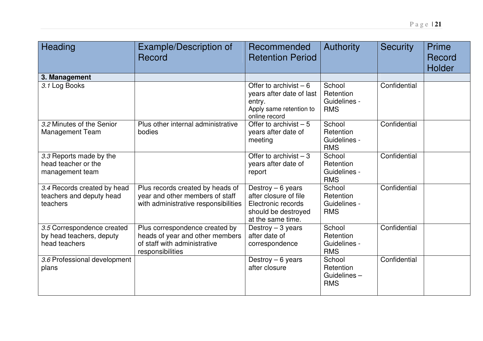| Heading                                                                 | Example/Description of<br>Record                                                                                      | Recommended<br><b>Retention Period</b>                                                                        | <b>Authority</b>                                  | <b>Security</b> | <b>Prime</b><br>Record<br>Holder |
|-------------------------------------------------------------------------|-----------------------------------------------------------------------------------------------------------------------|---------------------------------------------------------------------------------------------------------------|---------------------------------------------------|-----------------|----------------------------------|
| 3. Management                                                           |                                                                                                                       |                                                                                                               |                                                   |                 |                                  |
| 3.1 Log Books                                                           |                                                                                                                       | Offer to archivist $-6$<br>years after date of last<br>entry.<br>Apply same retention to<br>online record     | School<br>Retention<br>Guidelines -<br><b>RMS</b> | Confidential    |                                  |
| 3.2 Minutes of the Senior<br><b>Management Team</b>                     | Plus other internal administrative<br>bodies                                                                          | Offer to archivist $-\overline{5}$<br>years after date of<br>meeting                                          | School<br>Retention<br>Guidelines -<br><b>RMS</b> | Confidential    |                                  |
| 3.3 Reports made by the<br>head teacher or the<br>management team       |                                                                                                                       | Offer to archivist $-3$<br>years after date of<br>report                                                      | School<br>Retention<br>Guidelines -<br><b>RMS</b> | Confidential    |                                  |
| 3.4 Records created by head<br>teachers and deputy head<br>teachers     | Plus records created by heads of<br>year and other members of staff<br>with administrative responsibilities           | Destroy $-6$ years<br>after closure of file<br>Electronic records<br>should be destroyed<br>at the same time. | School<br>Retention<br>Guidelines -<br><b>RMS</b> | Confidential    |                                  |
| 3.5 Correspondence created<br>by head teachers, deputy<br>head teachers | Plus correspondence created by<br>heads of year and other members<br>of staff with administrative<br>responsibilities | Destroy $-3$ years<br>after date of<br>correspondence                                                         | School<br>Retention<br>Guidelines -<br><b>RMS</b> | Confidential    |                                  |
| 3.6 Professional development<br>plans                                   |                                                                                                                       | Destroy $-6$ years<br>after closure                                                                           | School<br>Retention<br>Guidelines-<br><b>RMS</b>  | Confidential    |                                  |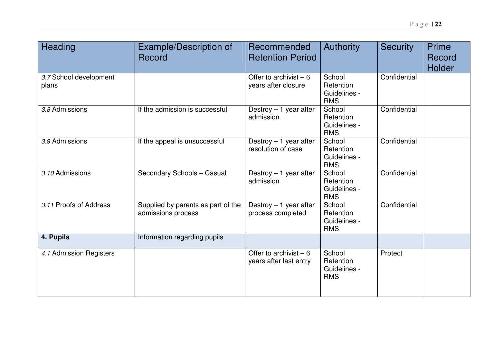| Heading                         | <b>Example/Description of</b><br>Record                  | Recommended<br><b>Retention Period</b>            | <b>Authority</b>                                  | <b>Security</b> | <b>Prime</b><br>Record<br>Holder |
|---------------------------------|----------------------------------------------------------|---------------------------------------------------|---------------------------------------------------|-----------------|----------------------------------|
| 3.7 School development<br>plans |                                                          | Offer to archivist $-6$<br>years after closure    | School<br>Retention<br>Guidelines -<br><b>RMS</b> | Confidential    |                                  |
| 3.8 Admissions                  | If the admission is successful                           | Destroy $-1$ year after<br>admission              | School<br>Retention<br>Guidelines -<br><b>RMS</b> | Confidential    |                                  |
| 3.9 Admissions                  | If the appeal is unsuccessful                            | Destroy $-1$ year after<br>resolution of case     | School<br>Retention<br>Guidelines -<br><b>RMS</b> | Confidential    |                                  |
| 3.10 Admissions                 | Secondary Schools - Casual                               | Destroy $-1$ year after<br>admission              | School<br>Retention<br>Guidelines -<br><b>RMS</b> | Confidential    |                                  |
| 3.11 Proofs of Address          | Supplied by parents as part of the<br>admissions process | Destroy $-1$ year after<br>process completed      | School<br>Retention<br>Guidelines -<br><b>RMS</b> | Confidential    |                                  |
| 4. Pupils                       | Information regarding pupils                             |                                                   |                                                   |                 |                                  |
| 4.1 Admission Registers         |                                                          | Offer to archivist $-6$<br>years after last entry | School<br>Retention<br>Guidelines -<br><b>RMS</b> | Protect         |                                  |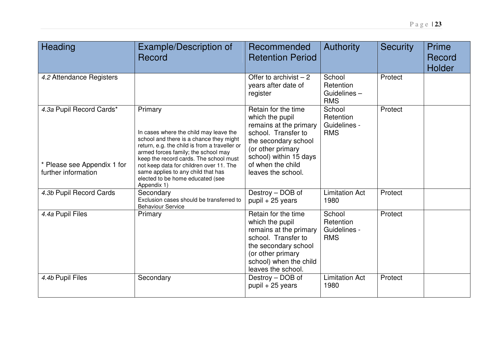| Heading                                                                        | Example/Description of<br>Record                                                                                                                                                                                                                                                                                                                                   | Recommended<br><b>Retention Period</b>                                                                                                                                                                    | <b>Authority</b>                                  | <b>Security</b> | Prime<br>Record<br>Holder |
|--------------------------------------------------------------------------------|--------------------------------------------------------------------------------------------------------------------------------------------------------------------------------------------------------------------------------------------------------------------------------------------------------------------------------------------------------------------|-----------------------------------------------------------------------------------------------------------------------------------------------------------------------------------------------------------|---------------------------------------------------|-----------------|---------------------------|
| 4.2 Attendance Registers                                                       |                                                                                                                                                                                                                                                                                                                                                                    | Offer to archivist $-2$<br>years after date of<br>register                                                                                                                                                | School<br>Retention<br>Guidelines-<br><b>RMS</b>  | Protect         |                           |
| 4.3a Pupil Record Cards*<br>* Please see Appendix 1 for<br>further information | Primary<br>In cases where the child may leave the<br>school and there is a chance they might<br>return, e.g. the child is from a traveller or<br>armed forces family; the school may<br>keep the record cards. The school must<br>not keep data for children over 11. The<br>same applies to any child that has<br>elected to be home educated (see<br>Appendix 1) | Retain for the time<br>which the pupil<br>remains at the primary<br>school. Transfer to<br>the secondary school<br>(or other primary<br>school) within 15 days<br>of when the child<br>leaves the school. | School<br>Retention<br>Guidelines -<br><b>RMS</b> | Protect         |                           |
| 4.3b Pupil Record Cards                                                        | Secondary<br>Exclusion cases should be transferred to<br><b>Behaviour Service</b>                                                                                                                                                                                                                                                                                  | Destroy - DOB of<br>$pupil + 25$ years                                                                                                                                                                    | <b>Limitation Act</b><br>1980                     | Protect         |                           |
| 4.4a Pupil Files                                                               | Primary                                                                                                                                                                                                                                                                                                                                                            | Retain for the time<br>which the pupil<br>remains at the primary<br>school. Transfer to<br>the secondary school<br>(or other primary<br>school) when the child<br>leaves the school.                      | School<br>Retention<br>Guidelines -<br><b>RMS</b> | Protect         |                           |
| 4.4b Pupil Files                                                               | Secondary                                                                                                                                                                                                                                                                                                                                                          | Destroy - DOB of<br>$pupil + 25$ years                                                                                                                                                                    | <b>Limitation Act</b><br>1980                     | Protect         |                           |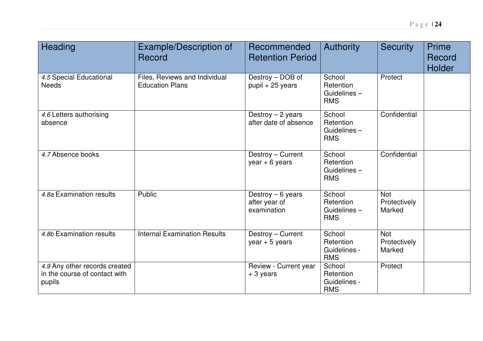| Heading                                                                  | <b>Example/Description of</b><br>Record                 | Recommended<br><b>Retention Period</b>             | Authority                                         | <b>Security</b>                      | <b>Prime</b><br>Record<br>Holder |
|--------------------------------------------------------------------------|---------------------------------------------------------|----------------------------------------------------|---------------------------------------------------|--------------------------------------|----------------------------------|
| 4.5 Special Educational<br><b>Needs</b>                                  | Files, Reviews and Individual<br><b>Education Plans</b> | Destroy - DOB of<br>$pupil + 25$ years             | School<br>Retention<br>Guidelines-<br><b>RMS</b>  | Protect                              |                                  |
| 4.6 Letters authorising<br>absence                                       |                                                         | Destroy $-2$ years<br>after date of absence        | School<br>Retention<br>Guidelines-<br><b>RMS</b>  | Confidential                         |                                  |
| 4.7 Absence books                                                        |                                                         | Destroy - Current<br>$year + 6 years$              | School<br>Retention<br>Guidelines-<br><b>RMS</b>  | Confidential                         |                                  |
| 4.8a Examination results                                                 | Public                                                  | Destroy $-6$ years<br>after year of<br>examination | School<br>Retention<br>Guidelines-<br><b>RMS</b>  | <b>Not</b><br>Protectively<br>Marked |                                  |
| 4.8b Examination results                                                 | <b>Internal Examination Results</b>                     | Destroy - Current<br>$year + 5 years$              | School<br>Retention<br>Guidelines -<br><b>RMS</b> | <b>Not</b><br>Protectively<br>Marked |                                  |
| 4.9 Any other records created<br>in the course of contact with<br>pupils |                                                         | Review - Current year<br>+ 3 years                 | School<br>Retention<br>Guidelines -<br><b>RMS</b> | Protect                              |                                  |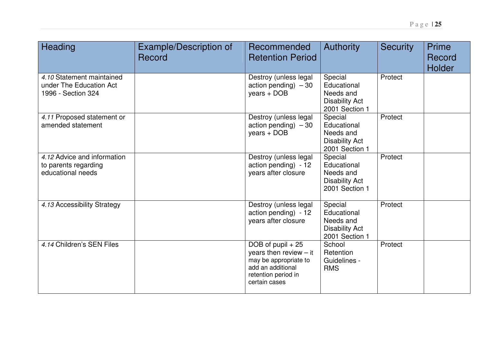| Heading                                                                    | Example/Description of<br>Record | Recommended<br><b>Retention Period</b>                                                                                               | <b>Authority</b>                                                               | <b>Security</b> | Prime<br>Record<br><b>Holder</b> |
|----------------------------------------------------------------------------|----------------------------------|--------------------------------------------------------------------------------------------------------------------------------------|--------------------------------------------------------------------------------|-----------------|----------------------------------|
| 4.10 Statement maintained<br>under The Education Act<br>1996 - Section 324 |                                  | Destroy (unless legal<br>action pending) $-30$<br>years + DOB                                                                        | Special<br>Educational<br>Needs and<br><b>Disability Act</b><br>2001 Section 1 | Protect         |                                  |
| 4.11 Proposed statement or<br>amended statement                            |                                  | Destroy (unless legal<br>action pending) $-30$<br>years + DOB                                                                        | Special<br>Educational<br>Needs and<br><b>Disability Act</b><br>2001 Section 1 | Protect         |                                  |
| 4.12 Advice and information<br>to parents regarding<br>educational needs   |                                  | Destroy (unless legal<br>action pending) - 12<br>years after closure                                                                 | Special<br>Educational<br>Needs and<br><b>Disability Act</b><br>2001 Section 1 | Protect         |                                  |
| 4.13 Accessibility Strategy                                                |                                  | Destroy (unless legal<br>action pending) - 12<br>years after closure                                                                 | Special<br>Educational<br>Needs and<br><b>Disability Act</b><br>2001 Section 1 | Protect         |                                  |
| 4.14 Children's SEN Files                                                  |                                  | DOB of pupil $+25$<br>years then review $-$ it<br>may be appropriate to<br>add an additional<br>retention period in<br>certain cases | School<br>Retention<br>Guidelines -<br><b>RMS</b>                              | Protect         |                                  |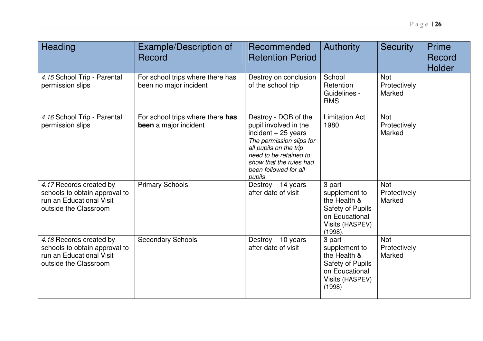| Heading                                                                                                       | Example/Description of<br>Record                           | Recommended<br><b>Retention Period</b>                                                                                                                                                                              | <b>Authority</b>                                                                                                   | <b>Security</b>                      | Prime<br>Record<br>Holder |
|---------------------------------------------------------------------------------------------------------------|------------------------------------------------------------|---------------------------------------------------------------------------------------------------------------------------------------------------------------------------------------------------------------------|--------------------------------------------------------------------------------------------------------------------|--------------------------------------|---------------------------|
| 4.15 School Trip - Parental<br>permission slips                                                               | For school trips where there has<br>been no major incident | Destroy on conclusion<br>of the school trip                                                                                                                                                                         | School<br>Retention<br>Guidelines -<br><b>RMS</b>                                                                  | <b>Not</b><br>Protectively<br>Marked |                           |
| 4.16 School Trip - Parental<br>permission slips                                                               | For school trips where there has<br>been a major incident  | Destroy - DOB of the<br>pupil involved in the<br>incident $+25$ years<br>The permission slips for<br>all pupils on the trip<br>need to be retained to<br>show that the rules had<br>been followed for all<br>pupils | <b>Limitation Act</b><br>1980                                                                                      | <b>Not</b><br>Protectively<br>Marked |                           |
| 4.17 Records created by<br>schools to obtain approval to<br>run an Educational Visit<br>outside the Classroom | <b>Primary Schools</b>                                     | Destroy - 14 years<br>after date of visit                                                                                                                                                                           | 3 part<br>supplement to<br>the Health &<br><b>Safety of Pupils</b><br>on Educational<br>Visits (HASPEV)<br>(1998). | <b>Not</b><br>Protectively<br>Marked |                           |
| 4.18 Records created by<br>schools to obtain approval to<br>run an Educational Visit<br>outside the Classroom | <b>Secondary Schools</b>                                   | Destroy $-10$ years<br>after date of visit                                                                                                                                                                          | 3 part<br>supplement to<br>the Health &<br><b>Safety of Pupils</b><br>on Educational<br>Visits (HASPEV)<br>(1998)  | <b>Not</b><br>Protectively<br>Marked |                           |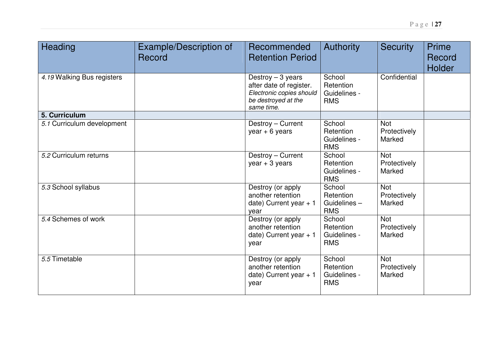| Heading                    | Example/Description of<br>Record | <b>Recommended</b><br><b>Retention Period</b>                                                                  | <b>Authority</b>                                  | <b>Security</b>                      | <b>Prime</b><br>Record<br><b>Holder</b> |
|----------------------------|----------------------------------|----------------------------------------------------------------------------------------------------------------|---------------------------------------------------|--------------------------------------|-----------------------------------------|
| 4.19 Walking Bus registers |                                  | Destroy $-3$ years<br>after date of register.<br>Electronic copies should<br>be destroyed at the<br>same time. | School<br>Retention<br>Guidelines -<br><b>RMS</b> | Confidential                         |                                         |
| 5. Curriculum              |                                  |                                                                                                                |                                                   |                                      |                                         |
| 5.1 Curriculum development |                                  | Destroy - Current<br>$year + 6 years$                                                                          | School<br>Retention<br>Guidelines -<br><b>RMS</b> | <b>Not</b><br>Protectively<br>Marked |                                         |
| 5.2 Curriculum returns     |                                  | Destroy - Current<br>$year + 3 years$                                                                          | School<br>Retention<br>Guidelines -<br><b>RMS</b> | Not<br>Protectively<br>Marked        |                                         |
| 5.3 School syllabus        |                                  | Destroy (or apply<br>another retention<br>date) Current year $+1$<br>year                                      | School<br>Retention<br>Guidelines-<br><b>RMS</b>  | <b>Not</b><br>Protectively<br>Marked |                                         |
| 5.4 Schemes of work        |                                  | Destroy (or apply<br>another retention<br>date) Current year $+1$<br>year                                      | School<br>Retention<br>Guidelines -<br><b>RMS</b> | Not<br>Protectively<br>Marked        |                                         |
| 5.5 Timetable              |                                  | Destroy (or apply)                                                                                             | School                                            | Not                                  |                                         |

another retention date) Current year <sup>+</sup> 1 **School** Retention Guidelines -

Protectively Marked

RMS

year

5 Timetable The Contract of the United States of the Destroy (or apply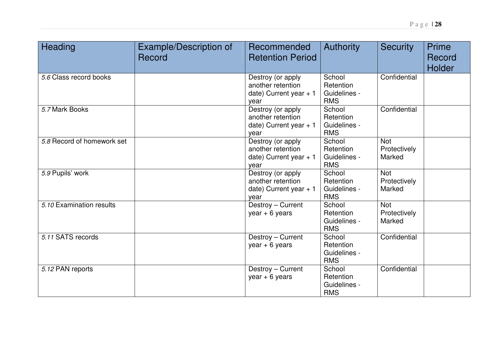| Heading                    | <b>Example/Description of</b><br>Record | Recommended<br><b>Retention Period</b>                                    | <b>Authority</b>                                  | <b>Security</b>                      | <b>Prime</b><br>Record<br><b>Holder</b> |
|----------------------------|-----------------------------------------|---------------------------------------------------------------------------|---------------------------------------------------|--------------------------------------|-----------------------------------------|
| 5.6 Class record books     |                                         | Destroy (or apply<br>another retention<br>date) Current year $+1$<br>year | School<br>Retention<br>Guidelines -<br><b>RMS</b> | Confidential                         |                                         |
| 5.7 Mark Books             |                                         | Destroy (or apply<br>another retention<br>date) Current year $+1$<br>year | School<br>Retention<br>Guidelines -<br><b>RMS</b> | Confidential                         |                                         |
| 5.8 Record of homework set |                                         | Destroy (or apply<br>another retention<br>date) Current year $+1$<br>year | School<br>Retention<br>Guidelines -<br><b>RMS</b> | <b>Not</b><br>Protectively<br>Marked |                                         |
| 5.9 Pupils' work           |                                         | Destroy (or apply<br>another retention<br>date) Current year $+1$<br>year | School<br>Retention<br>Guidelines -<br><b>RMS</b> | <b>Not</b><br>Protectively<br>Marked |                                         |
| 5.10 Examination results   |                                         | Destroy - Current<br>$year + 6 years$                                     | School<br>Retention<br>Guidelines -<br><b>RMS</b> | <b>Not</b><br>Protectively<br>Marked |                                         |
| 5.11 SATS records          |                                         | Destroy - Current<br>$year + 6 years$                                     | School<br>Retention<br>Guidelines -<br><b>RMS</b> | Confidential                         |                                         |
| 5.12 PAN reports           |                                         | Destroy - Current<br>$year + 6 years$                                     | School<br>Retention<br>Guidelines -<br><b>RMS</b> | Confidential                         |                                         |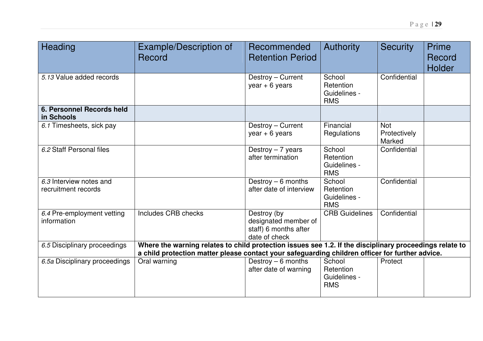| Heading                                        | Example/Description of<br>Record                                                                                                                                                                           | Recommended<br><b>Retention Period</b>                                        | <b>Authority</b>                                  | <b>Security</b>                      | Prime<br>Record<br>Holder |
|------------------------------------------------|------------------------------------------------------------------------------------------------------------------------------------------------------------------------------------------------------------|-------------------------------------------------------------------------------|---------------------------------------------------|--------------------------------------|---------------------------|
| 5.13 Value added records                       |                                                                                                                                                                                                            | Destroy - Current<br>$year + 6 years$                                         | School<br>Retention<br>Guidelines -<br><b>RMS</b> | Confidential                         |                           |
| 6. Personnel Records held<br>in Schools        |                                                                                                                                                                                                            |                                                                               |                                                   |                                      |                           |
| 6.1 Timesheets, sick pay                       |                                                                                                                                                                                                            | Destroy - Current<br>$year + 6 years$                                         | Financial<br>Regulations                          | <b>Not</b><br>Protectively<br>Marked |                           |
| 6.2 Staff Personal files                       |                                                                                                                                                                                                            | Destroy $-7$ years<br>after termination                                       | School<br>Retention<br>Guidelines -<br><b>RMS</b> | Confidential                         |                           |
| 6.3 Interview notes and<br>recruitment records |                                                                                                                                                                                                            | Destroy $-6$ months<br>after date of interview                                | School<br>Retention<br>Guidelines -<br><b>RMS</b> | Confidential                         |                           |
| 6.4 Pre-employment vetting<br>information      | <b>Includes CRB checks</b>                                                                                                                                                                                 | Destroy (by<br>designated member of<br>staff) 6 months after<br>date of check | <b>CRB Guidelines</b>                             | Confidential                         |                           |
| 6.5 Disciplinary proceedings                   | Where the warning relates to child protection issues see 1.2. If the disciplinary proceedings relate to<br>a child protection matter please contact your safeguarding children officer for further advice. |                                                                               |                                                   |                                      |                           |
| 6.5a Disciplinary proceedings                  | Oral warning                                                                                                                                                                                               | Destroy $-6$ months<br>after date of warning                                  | School<br>Retention<br>Guidelines -<br><b>RMS</b> | Protect                              |                           |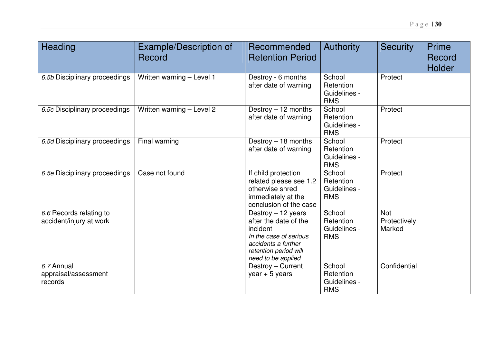| Heading                                            | <b>Example/Description of</b><br>Record | Recommended<br><b>Retention Period</b>                                                                                                                  | <b>Authority</b>                                  | <b>Security</b>                      | Prime<br>Record<br><b>Holder</b> |
|----------------------------------------------------|-----------------------------------------|---------------------------------------------------------------------------------------------------------------------------------------------------------|---------------------------------------------------|--------------------------------------|----------------------------------|
| 6.5b Disciplinary proceedings                      | Written warning - Level 1               | Destroy - 6 months<br>after date of warning                                                                                                             | School<br>Retention<br>Guidelines -<br><b>RMS</b> | Protect                              |                                  |
| 6.5c Disciplinary proceedings                      | Written warning - Level 2               | Destroy $-12$ months<br>after date of warning                                                                                                           | School<br>Retention<br>Guidelines -<br><b>RMS</b> | Protect                              |                                  |
| 6.5d Disciplinary proceedings                      | Final warning                           | Destroy - 18 months<br>after date of warning                                                                                                            | School<br>Retention<br>Guidelines -<br><b>RMS</b> | Protect                              |                                  |
| 6.5e Disciplinary proceedings                      | Case not found                          | If child protection<br>related please see 1.2<br>otherwise shred<br>immediately at the<br>conclusion of the case                                        | School<br>Retention<br>Guidelines -<br><b>RMS</b> | Protect                              |                                  |
| 6.6 Records relating to<br>accident/injury at work |                                         | Destroy - 12 years<br>after the date of the<br>incident<br>In the case of serious<br>accidents a further<br>retention period will<br>need to be applied | School<br>Retention<br>Guidelines -<br><b>RMS</b> | <b>Not</b><br>Protectively<br>Marked |                                  |
| 6.7 Annual<br>appraisal/assessment<br>records      |                                         | Destroy - Current<br>year $+5$ years                                                                                                                    | School<br>Retention<br>Guidelines -<br><b>RMS</b> | Confidential                         |                                  |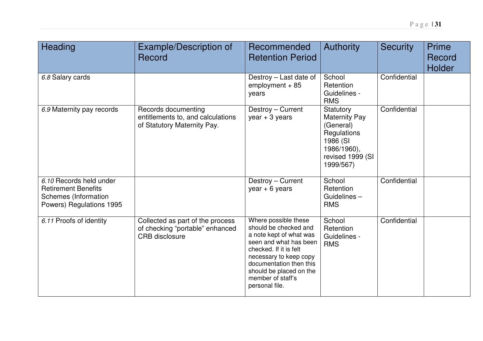| Heading                                                                                                   | Example/Description of<br>Record                                                             | Recommended<br><b>Retention Period</b>                                                                                                                                                                                                              | <b>Authority</b>                                                                                                          | <b>Security</b> | Prime<br>Record<br><b>Holder</b> |
|-----------------------------------------------------------------------------------------------------------|----------------------------------------------------------------------------------------------|-----------------------------------------------------------------------------------------------------------------------------------------------------------------------------------------------------------------------------------------------------|---------------------------------------------------------------------------------------------------------------------------|-----------------|----------------------------------|
| 6.8 Salary cards                                                                                          |                                                                                              | Destroy – Last date of<br>$employment + 85$<br>years                                                                                                                                                                                                | School<br>Retention<br>Guidelines -<br><b>RMS</b>                                                                         | Confidential    |                                  |
| 6.9 Maternity pay records                                                                                 | Records documenting<br>entitlements to, and calculations<br>of Statutory Maternity Pay.      | Destroy - Current<br>$year + 3 years$                                                                                                                                                                                                               | Statutory<br><b>Maternity Pay</b><br>(General)<br>Regulations<br>1986 (SI<br>1986/1960),<br>revised 1999 (SI<br>1999/567) | Confidential    |                                  |
| 6.10 Records held under<br><b>Retirement Benefits</b><br>Schemes (Information<br>Powers) Regulations 1995 |                                                                                              | Destroy - Current<br>$year + 6 years$                                                                                                                                                                                                               | School<br>Retention<br>Guidelines-<br><b>RMS</b>                                                                          | Confidential    |                                  |
| 6.11 Proofs of identity                                                                                   | Collected as part of the process<br>of checking "portable" enhanced<br><b>CRB</b> disclosure | Where possible these<br>should be checked and<br>a note kept of what was<br>seen and what has been<br>checked. If it is felt<br>necessary to keep copy<br>documentation then this<br>should be placed on the<br>member of staff's<br>personal file. | School<br>Retention<br>Guidelines -<br><b>RMS</b>                                                                         | Confidential    |                                  |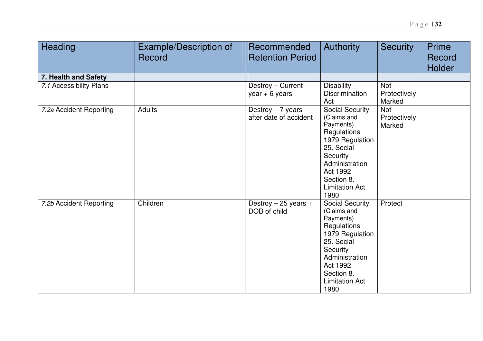| Heading                 | <b>Example/Description of</b><br>Record | Recommended<br><b>Retention Period</b>       | <b>Authority</b>                                                                                                                                                                            | <b>Security</b>                      | <b>Prime</b><br>Record<br>Holder |
|-------------------------|-----------------------------------------|----------------------------------------------|---------------------------------------------------------------------------------------------------------------------------------------------------------------------------------------------|--------------------------------------|----------------------------------|
| 7. Health and Safety    |                                         |                                              |                                                                                                                                                                                             |                                      |                                  |
| 7.1 Accessibility Plans |                                         | Destroy - Current<br>$year + 6 years$        | <b>Disability</b><br><b>Discrimination</b><br>Act                                                                                                                                           | <b>Not</b><br>Protectively<br>Marked |                                  |
| 7.2a Accident Reporting | Adults                                  | Destroy $-7$ years<br>after date of accident | <b>Social Security</b><br>(Claims and<br>Payments)<br>Regulations<br>1979 Regulation<br>25. Social<br>Security<br>Administration<br>Act 1992<br>Section 8.<br><b>Limitation Act</b><br>1980 | <b>Not</b><br>Protectively<br>Marked |                                  |
| 7.2b Accident Reporting | Children                                | Destroy $-25$ years $+$<br>DOB of child      | <b>Social Security</b><br>(Claims and<br>Payments)<br>Regulations<br>1979 Regulation<br>25. Social<br>Security<br>Administration<br>Act 1992<br>Section 8.<br><b>Limitation Act</b><br>1980 | Protect                              |                                  |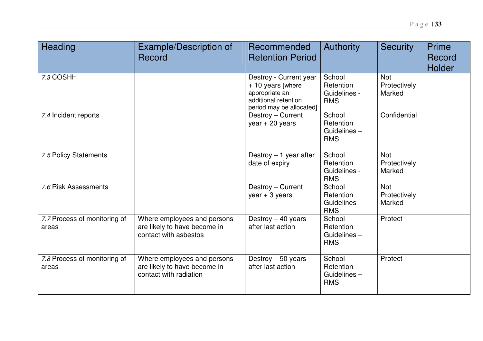| Heading                               | Example/Description of<br>Record                                                      | Recommended<br><b>Retention Period</b>                                                                            | <b>Authority</b>                                    | <b>Security</b>                      | Prime<br>Record<br><b>Holder</b> |
|---------------------------------------|---------------------------------------------------------------------------------------|-------------------------------------------------------------------------------------------------------------------|-----------------------------------------------------|--------------------------------------|----------------------------------|
| 7.3 COSHH                             |                                                                                       | Destroy - Current year<br>+ 10 years [where<br>appropriate an<br>additional retention<br>period may be allocated] | School<br>Retention<br>Guidelines -<br><b>RMS</b>   | <b>Not</b><br>Protectively<br>Marked |                                  |
| 7.4 Incident reports                  |                                                                                       | Destroy - Current<br>year $+20$ years                                                                             | School<br>Retention<br>Guidelines $-$<br><b>RMS</b> | Confidential                         |                                  |
| 7.5 Policy Statements                 |                                                                                       | Destroy $-1$ year after<br>date of expiry                                                                         | School<br>Retention<br>Guidelines -<br><b>RMS</b>   | <b>Not</b><br>Protectively<br>Marked |                                  |
| 7.6 Risk Assessments                  |                                                                                       | Destroy - Current<br>$year + 3 years$                                                                             | School<br>Retention<br>Guidelines -<br><b>RMS</b>   | <b>Not</b><br>Protectively<br>Marked |                                  |
| 7.7 Process of monitoring of<br>areas | Where employees and persons<br>are likely to have become in<br>contact with asbestos  | Destroy $-40$ years<br>after last action                                                                          | School<br>Retention<br>Guidelines-<br><b>RMS</b>    | Protect                              |                                  |
| 7.8 Process of monitoring of<br>areas | Where employees and persons<br>are likely to have become in<br>contact with radiation | Destroy - 50 years<br>after last action                                                                           | School<br>Retention<br>Guidelines-<br><b>RMS</b>    | Protect                              |                                  |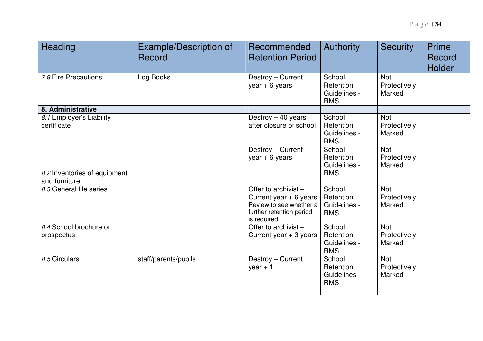| Heading                                       | Example/Description of<br>Record | Recommended<br><b>Retention Period</b>                                                                                 | Authority                                         | <b>Security</b>                      | <b>Prime</b><br>Record<br><b>Holder</b> |
|-----------------------------------------------|----------------------------------|------------------------------------------------------------------------------------------------------------------------|---------------------------------------------------|--------------------------------------|-----------------------------------------|
| 7.9 Fire Precautions                          | Log Books                        | Destroy - Current<br>$year + 6 years$                                                                                  | School<br>Retention<br>Guidelines -<br><b>RMS</b> | <b>Not</b><br>Protectively<br>Marked |                                         |
| 8. Administrative                             |                                  |                                                                                                                        |                                                   |                                      |                                         |
| 8.1 Employer's Liability<br>certificate       |                                  | Destroy - 40 years<br>after closure of school                                                                          | School<br>Retention<br>Guidelines -<br><b>RMS</b> | <b>Not</b><br>Protectively<br>Marked |                                         |
|                                               |                                  | Destroy - Current<br>year $+ 6$ years                                                                                  | School<br>Retention<br>Guidelines -               | <b>Not</b><br>Protectively<br>Marked |                                         |
| 8.2 Inventories of equipment<br>and furniture |                                  |                                                                                                                        | <b>RMS</b>                                        |                                      |                                         |
| 8.3 General file series                       |                                  | Offer to archivist -<br>Current year $+ 6$ years<br>Review to see whether a<br>further retention period<br>is required | School<br>Retention<br>Guidelines -<br><b>RMS</b> | Not<br>Protectively<br>Marked        |                                         |
| 8.4 School brochure or<br>prospectus          |                                  | Offer to archivist -<br>Current year $+3$ years                                                                        | School<br>Retention<br>Guidelines -<br><b>RMS</b> | <b>Not</b><br>Protectively<br>Marked |                                         |
| 8.5 Circulars                                 | staff/parents/pupils             | Destroy - Current<br>year $+1$                                                                                         | School<br>Retention<br>Guidelines-<br><b>RMS</b>  | <b>Not</b><br>Protectively<br>Marked |                                         |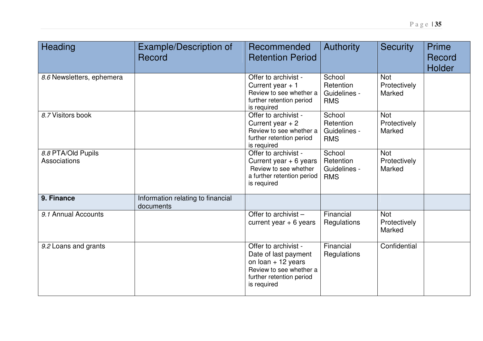| Heading                            | Example/Description of<br>Record               | Recommended<br><b>Retention Period</b>                                                                                                                    | <b>Authority</b>                                  | <b>Security</b>                      | Prime<br>Record<br><b>Holder</b> |
|------------------------------------|------------------------------------------------|-----------------------------------------------------------------------------------------------------------------------------------------------------------|---------------------------------------------------|--------------------------------------|----------------------------------|
| 8.6 Newsletters, ephemera          |                                                | Offer to archivist -<br>Current year $+1$<br>Review to see whether a<br>further retention period<br>is required                                           | School<br>Retention<br>Guidelines -<br><b>RMS</b> | <b>Not</b><br>Protectively<br>Marked |                                  |
| 8.7 Visitors book                  |                                                | Offer to archivist -<br>Current year $+2$<br>Review to see whether a<br>further retention period<br>is required                                           | School<br>Retention<br>Guidelines -<br><b>RMS</b> | <b>Not</b><br>Protectively<br>Marked |                                  |
| 8.8 PTA/Old Pupils<br>Associations |                                                | Offer to archivist -<br>Current year $+ 6$ years<br>Review to see whether<br>a further retention period<br>is required                                    | School<br>Retention<br>Guidelines -<br><b>RMS</b> | <b>Not</b><br>Protectively<br>Marked |                                  |
| 9. Finance                         | Information relating to financial<br>documents |                                                                                                                                                           |                                                   |                                      |                                  |
| 9.1 Annual Accounts                |                                                | Offer to archivist -<br>current year $+ 6$ years                                                                                                          | Financial<br>Regulations                          | <b>Not</b><br>Protectively<br>Marked |                                  |
| 9.2 Loans and grants               |                                                | Offer to archivist -<br>Date of last payment<br>on $\text{loan} + 12 \text{ years}$<br>Review to see whether a<br>further retention period<br>is required | Financial<br>Regulations                          | Confidential                         |                                  |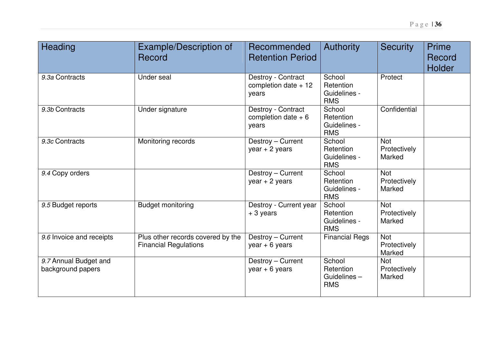| Heading                                    | Example/Description of<br>Record                                  | Recommended<br><b>Retention Period</b>               | <b>Authority</b>                                  | <b>Security</b>                      | <b>Prime</b><br>Record<br><b>Holder</b> |
|--------------------------------------------|-------------------------------------------------------------------|------------------------------------------------------|---------------------------------------------------|--------------------------------------|-----------------------------------------|
| 9.3a Contracts                             | Under seal                                                        | Destroy - Contract<br>completion date $+12$<br>years | School<br>Retention<br>Guidelines -<br><b>RMS</b> | Protect                              |                                         |
| 9.3b Contracts                             | Under signature                                                   | Destroy - Contract<br>completion date $+6$<br>years  | School<br>Retention<br>Guidelines -<br><b>RMS</b> | Confidential                         |                                         |
| 9.3c Contracts                             | Monitoring records                                                | Destroy - Current<br>$year + 2 years$                | School<br>Retention<br>Guidelines -<br><b>RMS</b> | <b>Not</b><br>Protectively<br>Marked |                                         |
| 9.4 Copy orders                            |                                                                   | Destroy - Current<br>$year + 2 years$                | School<br>Retention<br>Guidelines -<br><b>RMS</b> | <b>Not</b><br>Protectively<br>Marked |                                         |
| 9.5 Budget reports                         | <b>Budget monitoring</b>                                          | Destroy - Current year<br>$+3$ years                 | School<br>Retention<br>Guidelines -<br><b>RMS</b> | <b>Not</b><br>Protectively<br>Marked |                                         |
| 9.6 Invoice and receipts                   | Plus other records covered by the<br><b>Financial Regulations</b> | Destroy - Current<br>$year + 6 years$                | <b>Financial Regs</b>                             | <b>Not</b><br>Protectively<br>Marked |                                         |
| 9.7 Annual Budget and<br>background papers |                                                                   | Destroy - Current<br>$year + 6 years$                | School<br>Retention<br>Guidelines-<br><b>RMS</b>  | <b>Not</b><br>Protectively<br>Marked |                                         |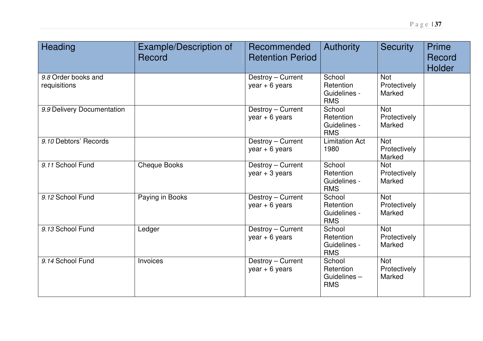| Heading                             | <b>Example/Description of</b><br>Record | Recommended<br><b>Retention Period</b> | Authority                                         | <b>Security</b>                      | <b>Prime</b><br>Record<br><b>Holder</b> |
|-------------------------------------|-----------------------------------------|----------------------------------------|---------------------------------------------------|--------------------------------------|-----------------------------------------|
| 9.8 Order books and<br>requisitions |                                         | Destroy - Current<br>$year + 6 years$  | School<br>Retention<br>Guidelines -<br><b>RMS</b> | <b>Not</b><br>Protectively<br>Marked |                                         |
| 9.9 Delivery Documentation          |                                         | Destroy - Current<br>year $+ 6$ years  | School<br>Retention<br>Guidelines -<br><b>RMS</b> | <b>Not</b><br>Protectively<br>Marked |                                         |
| 9.10 Debtors' Records               |                                         | Destroy - Current<br>$year + 6 years$  | <b>Limitation Act</b><br>1980                     | <b>Not</b><br>Protectively<br>Marked |                                         |
| 9.11 School Fund                    | <b>Cheque Books</b>                     | Destroy - Current<br>$year + 3 years$  | School<br>Retention<br>Guidelines -<br><b>RMS</b> | Not<br>Protectively<br>Marked        |                                         |
| 9.12 School Fund                    | Paying in Books                         | Destroy - Current<br>$year + 6 years$  | School<br>Retention<br>Guidelines -<br><b>RMS</b> | <b>Not</b><br>Protectively<br>Marked |                                         |
| 9.13 School Fund                    | Ledger                                  | Destroy - Current<br>$year + 6 years$  | School<br>Retention<br>Guidelines -<br><b>RMS</b> | <b>Not</b><br>Protectively<br>Marked |                                         |
| 9.14 School Fund                    | Invoices                                | Destroy - Current<br>$year + 6 years$  | School<br>Retention<br>Guidelines-<br><b>RMS</b>  | Not<br>Protectively<br>Marked        |                                         |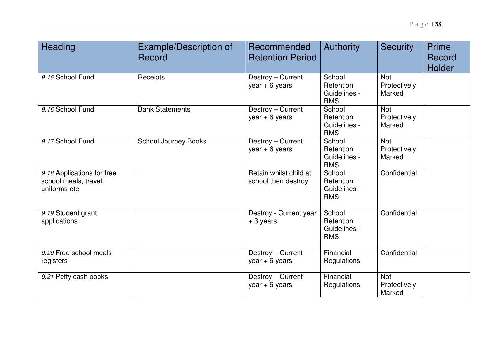| Heading                                                             | Example/Description of<br>Record | Recommended<br><b>Retention Period</b>        | <b>Authority</b>                                  | <b>Security</b>                      | Prime<br>Record<br>Holder |
|---------------------------------------------------------------------|----------------------------------|-----------------------------------------------|---------------------------------------------------|--------------------------------------|---------------------------|
| 9.15 School Fund                                                    | Receipts                         | Destroy - Current<br>$year + 6 years$         | School<br>Retention<br>Guidelines -<br><b>RMS</b> | <b>Not</b><br>Protectively<br>Marked |                           |
| 9.16 School Fund                                                    | <b>Bank Statements</b>           | Destroy - Current<br>$year + 6 years$         | School<br>Retention<br>Guidelines -<br><b>RMS</b> | <b>Not</b><br>Protectively<br>Marked |                           |
| 9.17 School Fund                                                    | <b>School Journey Books</b>      | Destroy - Current<br>$year + 6 years$         | School<br>Retention<br>Guidelines -<br><b>RMS</b> | <b>Not</b><br>Protectively<br>Marked |                           |
| 9.18 Applications for free<br>school meals, travel,<br>uniforms etc |                                  | Retain whilst child at<br>school then destroy | School<br>Retention<br>Guidelines-<br><b>RMS</b>  | Confidential                         |                           |
| 9.19 Student grant<br>applications                                  |                                  | Destroy - Current year<br>$+3$ years          | School<br>Retention<br>Guidelines-<br><b>RMS</b>  | Confidential                         |                           |
| 9.20 Free school meals<br>registers                                 |                                  | Destroy - Current<br>$year + 6 years$         | Financial<br>Regulations                          | Confidential                         |                           |
| 9.21 Petty cash books                                               |                                  | Destroy - Current<br>$year + 6 years$         | Financial<br>Regulations                          | <b>Not</b><br>Protectively<br>Marked |                           |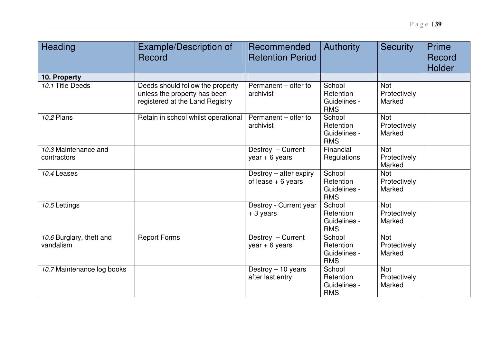| Heading                               | Example/Description of<br>Record                                                                    | Recommended<br><b>Retention Period</b>        | <b>Authority</b>                                  | <b>Security</b>                      | <b>Prime</b><br>Record<br><b>Holder</b> |
|---------------------------------------|-----------------------------------------------------------------------------------------------------|-----------------------------------------------|---------------------------------------------------|--------------------------------------|-----------------------------------------|
| 10. Property                          |                                                                                                     |                                               |                                                   |                                      |                                         |
| 10.1 Title Deeds                      | Deeds should follow the property<br>unless the property has been<br>registered at the Land Registry | Permanent - offer to<br>archivist             | School<br>Retention<br>Guidelines -<br><b>RMS</b> | <b>Not</b><br>Protectively<br>Marked |                                         |
| 10.2 Plans                            | Retain in school whilst operational                                                                 | Permanent - offer to<br>archivist             | School<br>Retention<br>Guidelines -<br><b>RMS</b> | <b>Not</b><br>Protectively<br>Marked |                                         |
| 10.3 Maintenance and<br>contractors   |                                                                                                     | Destroy - Current<br>year $+ 6$ years         | Financial<br>Regulations                          | <b>Not</b><br>Protectively<br>Marked |                                         |
| 10.4 Leases                           |                                                                                                     | Destroy - after expiry<br>of lease $+6$ years | School<br>Retention<br>Guidelines -<br><b>RMS</b> | <b>Not</b><br>Protectively<br>Marked |                                         |
| 10.5 Lettings                         |                                                                                                     | Destroy - Current year<br>$+3$ years          | School<br>Retention<br>Guidelines -<br><b>RMS</b> | <b>Not</b><br>Protectively<br>Marked |                                         |
| 10.6 Burglary, theft and<br>vandalism | <b>Report Forms</b>                                                                                 | Destroy - Current<br>$year + 6 years$         | School<br>Retention<br>Guidelines -<br><b>RMS</b> | <b>Not</b><br>Protectively<br>Marked |                                         |
| 10.7 Maintenance log books            |                                                                                                     | Destroy - 10 years<br>after last entry        | School<br>Retention<br>Guidelines -<br><b>RMS</b> | <b>Not</b><br>Protectively<br>Marked |                                         |

P <sup>a</sup> g <sup>e</sup> | **39**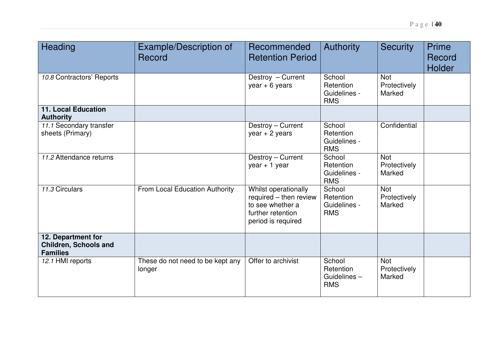| Heading                                                               | Example/Description of<br>Record           | Recommended<br><b>Retention Period</b>                                                                        | <b>Authority</b>                                  | <b>Security</b>                      | Prime<br>Record |
|-----------------------------------------------------------------------|--------------------------------------------|---------------------------------------------------------------------------------------------------------------|---------------------------------------------------|--------------------------------------|-----------------|
|                                                                       |                                            |                                                                                                               |                                                   |                                      | Holder          |
| 10.8 Contractors' Reports                                             |                                            | Destroy - Current<br>$year + 6 years$                                                                         | School<br>Retention<br>Guidelines -<br><b>RMS</b> | <b>Not</b><br>Protectively<br>Marked |                 |
| <b>11. Local Education</b><br><b>Authority</b>                        |                                            |                                                                                                               |                                                   |                                      |                 |
| 11.1 Secondary transfer<br>sheets (Primary)                           |                                            | Destroy - Current<br>$year + 2 years$                                                                         | School<br>Retention<br>Guidelines -<br><b>RMS</b> | Confidential                         |                 |
| 11.2 Attendance returns                                               |                                            | Destroy - Current<br>$year + 1 year$                                                                          | School<br>Retention<br>Guidelines -<br><b>RMS</b> | <b>Not</b><br>Protectively<br>Marked |                 |
| 11.3 Circulars                                                        | From Local Education Authority             | Whilst operationally<br>required - then review<br>to see whether a<br>further retention<br>period is required | School<br>Retention<br>Guidelines -<br><b>RMS</b> | <b>Not</b><br>Protectively<br>Marked |                 |
| 12. Department for<br><b>Children, Schools and</b><br><b>Families</b> |                                            |                                                                                                               |                                                   |                                      |                 |
| 12.1 HMI reports                                                      | These do not need to be kept any<br>longer | Offer to archivist                                                                                            | School<br>Retention<br>Guidelines-<br><b>RMS</b>  | <b>Not</b><br>Protectively<br>Marked |                 |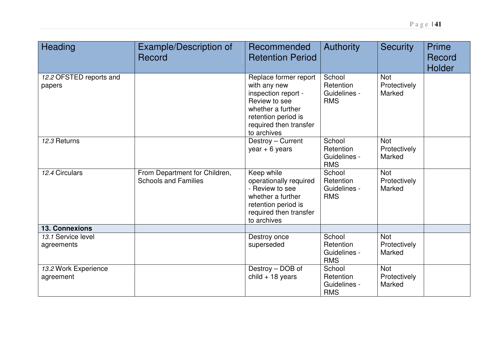| Heading                           | Example/Description of<br>Record                             | Recommended<br><b>Retention Period</b>                                                                                                                             | <b>Authority</b>                                  | <b>Security</b>                      | Prime<br>Record<br><b>Holder</b> |
|-----------------------------------|--------------------------------------------------------------|--------------------------------------------------------------------------------------------------------------------------------------------------------------------|---------------------------------------------------|--------------------------------------|----------------------------------|
| 12.2 OFSTED reports and<br>papers |                                                              | Replace former report<br>with any new<br>inspection report -<br>Review to see<br>whether a further<br>retention period is<br>required then transfer<br>to archives | School<br>Retention<br>Guidelines -<br><b>RMS</b> | <b>Not</b><br>Protectively<br>Marked |                                  |
| 12.3 Returns                      |                                                              | Destroy - Current<br>$year + 6 years$                                                                                                                              | School<br>Retention<br>Guidelines -<br><b>RMS</b> | <b>Not</b><br>Protectively<br>Marked |                                  |
| 12.4 Circulars                    | From Department for Children,<br><b>Schools and Families</b> | Keep while<br>operationally required<br>- Review to see<br>whether a further<br>retention period is<br>required then transfer<br>to archives                       | School<br>Retention<br>Guidelines -<br><b>RMS</b> | <b>Not</b><br>Protectively<br>Marked |                                  |
| <b>13. Connexions</b>             |                                                              |                                                                                                                                                                    |                                                   |                                      |                                  |
| 13.1 Service level<br>agreements  |                                                              | Destroy once<br>superseded                                                                                                                                         | School<br>Retention<br>Guidelines -<br><b>RMS</b> | <b>Not</b><br>Protectively<br>Marked |                                  |
| 13.2 Work Experience<br>agreement |                                                              | Destroy - DOB of<br>child $+$ 18 years                                                                                                                             | School<br>Retention<br>Guidelines -<br><b>RMS</b> | <b>Not</b><br>Protectively<br>Marked |                                  |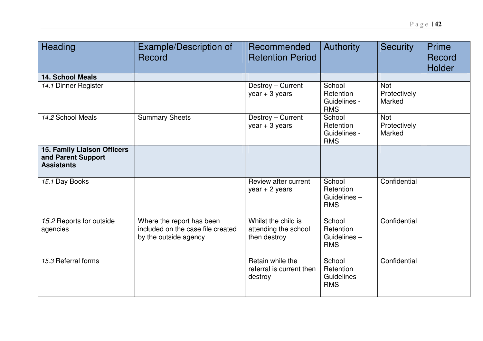| Heading                                                                       | Example/Description of<br>Record                                                        | Recommended<br><b>Retention Period</b>                      | <b>Authority</b>                                  | <b>Security</b>                      | <b>Prime</b><br>Record<br><b>Holder</b> |
|-------------------------------------------------------------------------------|-----------------------------------------------------------------------------------------|-------------------------------------------------------------|---------------------------------------------------|--------------------------------------|-----------------------------------------|
| <b>14. School Meals</b>                                                       |                                                                                         |                                                             |                                                   |                                      |                                         |
| 14.1 Dinner Register                                                          |                                                                                         | Destroy - Current<br>$year + 3 years$                       | School<br>Retention<br>Guidelines -<br><b>RMS</b> | <b>Not</b><br>Protectively<br>Marked |                                         |
| 14.2 School Meals                                                             | <b>Summary Sheets</b>                                                                   | Destroy - Current<br>$year + 3 years$                       | School<br>Retention<br>Guidelines -<br><b>RMS</b> | <b>Not</b><br>Protectively<br>Marked |                                         |
| <b>15. Family Liaison Officers</b><br>and Parent Support<br><b>Assistants</b> |                                                                                         |                                                             |                                                   |                                      |                                         |
| 15.1 Day Books                                                                |                                                                                         | Review after current<br>$year + 2 years$                    | School<br>Retention<br>Guidelines-<br><b>RMS</b>  | Confidential                         |                                         |
| 15.2 Reports for outside<br>agencies                                          | Where the report has been<br>included on the case file created<br>by the outside agency | Whilst the child is<br>attending the school<br>then destroy | School<br>Retention<br>Guidelines-<br><b>RMS</b>  | Confidential                         |                                         |
| 15.3 Referral forms                                                           |                                                                                         | Retain while the<br>referral is current then<br>destroy     | School<br>Retention<br>Guidelines-<br><b>RMS</b>  | Confidential                         |                                         |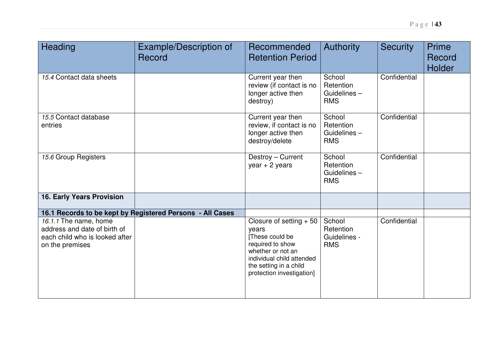| Heading                                                                           | Example/Description of<br>Record                          | Recommended<br><b>Retention Period</b>                                                                                                               | <b>Authority</b>                                 | <b>Security</b> | <b>Prime</b><br>Record<br>Holder |
|-----------------------------------------------------------------------------------|-----------------------------------------------------------|------------------------------------------------------------------------------------------------------------------------------------------------------|--------------------------------------------------|-----------------|----------------------------------|
| 15.4 Contact data sheets                                                          |                                                           | Current year then<br>review (if contact is no<br>longer active then<br>destroy)                                                                      | School<br>Retention<br>Guidelines-<br><b>RMS</b> | Confidential    |                                  |
| 15.5 Contact database<br>entries                                                  |                                                           | Current year then<br>review, if contact is no<br>longer active then<br>destroy/delete                                                                | School<br>Retention<br>Guidelines-<br><b>RMS</b> | Confidential    |                                  |
| 15.6 Group Registers                                                              |                                                           | Destroy - Current<br>year $+2$ years                                                                                                                 | School<br>Retention<br>Guidelines-<br><b>RMS</b> | Confidential    |                                  |
| 16. Early Years Provision                                                         |                                                           |                                                                                                                                                      |                                                  |                 |                                  |
| 16.1.1 The name, home                                                             | 16.1 Records to be kept by Registered Persons - All Cases | Closure of setting $+50$                                                                                                                             | School                                           | Confidential    |                                  |
| address and date of birth of<br>each child who is looked after<br>on the premises |                                                           | years<br>These could be<br>required to show<br>whether or not an<br>individual child attended<br>the setting in a child<br>protection investigation] | Retention<br>Guidelines -<br><b>RMS</b>          |                 |                                  |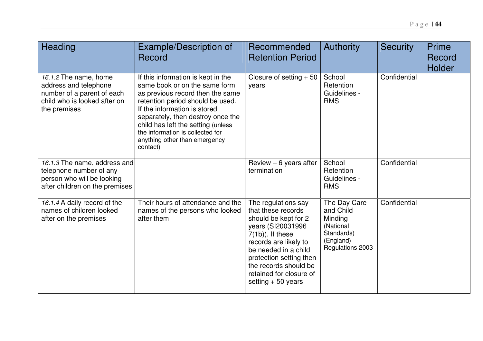| Heading                                                                                                                      | Example/Description of<br>Record                                                                                                                                                                                                                                                                                                        | Recommended<br><b>Retention Period</b>                                                                                                                                                                                                                               | <b>Authority</b>                                                                                 | <b>Security</b> | <b>Prime</b><br>Record<br>Holder |
|------------------------------------------------------------------------------------------------------------------------------|-----------------------------------------------------------------------------------------------------------------------------------------------------------------------------------------------------------------------------------------------------------------------------------------------------------------------------------------|----------------------------------------------------------------------------------------------------------------------------------------------------------------------------------------------------------------------------------------------------------------------|--------------------------------------------------------------------------------------------------|-----------------|----------------------------------|
| 16.1.2 The name, home<br>address and telephone<br>number of a parent of each<br>child who is looked after on<br>the premises | If this information is kept in the<br>same book or on the same form<br>as previous record then the same<br>retention period should be used.<br>If the information is stored<br>separately, then destroy once the<br>child has left the setting (unless<br>the information is collected for<br>anything other than emergency<br>contact) | Closure of setting $+50$<br>years                                                                                                                                                                                                                                    | School<br>Retention<br>Guidelines -<br><b>RMS</b>                                                | Confidential    |                                  |
| 16.1.3 The name, address and<br>telephone number of any<br>person who will be looking<br>after children on the premises      |                                                                                                                                                                                                                                                                                                                                         | Review $-6$ years after<br>termination                                                                                                                                                                                                                               | School<br>Retention<br>Guidelines -<br><b>RMS</b>                                                | Confidential    |                                  |
| 16.1.4 A daily record of the<br>names of children looked<br>after on the premises                                            | Their hours of attendance and the<br>names of the persons who looked<br>after them                                                                                                                                                                                                                                                      | The regulations say<br>that these records<br>should be kept for 2<br>years (SI20031996<br>$7(1b)$ ). If these<br>records are likely to<br>be needed in a child<br>protection setting then<br>the records should be<br>retained for closure of<br>setting $+50$ years | The Day Care<br>and Child<br>Minding<br>(National<br>Standards)<br>(England)<br>Regulations 2003 | Confidential    |                                  |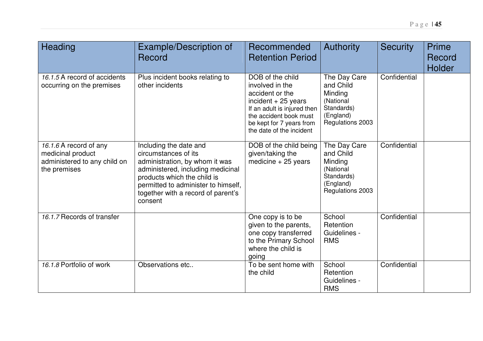| Heading                                                                                     | Example/Description of<br>Record                                                                                                                                                                                                             | Recommended<br><b>Retention Period</b>                                                                                                                                                          | <b>Authority</b>                                                                                 | <b>Security</b> | Prime<br>Record<br>Holder |
|---------------------------------------------------------------------------------------------|----------------------------------------------------------------------------------------------------------------------------------------------------------------------------------------------------------------------------------------------|-------------------------------------------------------------------------------------------------------------------------------------------------------------------------------------------------|--------------------------------------------------------------------------------------------------|-----------------|---------------------------|
| 16.1.5 A record of accidents<br>occurring on the premises                                   | Plus incident books relating to<br>other incidents                                                                                                                                                                                           | DOB of the child<br>involved in the<br>accident or the<br>incident $+25$ years<br>If an adult is injured then<br>the accident book must<br>be kept for 7 years from<br>the date of the incident | The Day Care<br>and Child<br>Minding<br>(National<br>Standards)<br>(England)<br>Regulations 2003 | Confidential    |                           |
| 16.1.6 A record of any<br>medicinal product<br>administered to any child on<br>the premises | Including the date and<br>circumstances of its<br>administration, by whom it was<br>administered, including medicinal<br>products which the child is<br>permitted to administer to himself,<br>together with a record of parent's<br>consent | DOB of the child being<br>given/taking the<br>medicine $+25$ years                                                                                                                              | The Day Care<br>and Child<br>Minding<br>(National<br>Standards)<br>(England)<br>Regulations 2003 | Confidential    |                           |
| 16.1.7 Records of transfer                                                                  |                                                                                                                                                                                                                                              | One copy is to be<br>given to the parents,<br>one copy transferred<br>to the Primary School<br>where the child is<br>going                                                                      | School<br>Retention<br>Guidelines -<br><b>RMS</b>                                                | Confidential    |                           |
| 16.1.8 Portfolio of work                                                                    | Observations etc                                                                                                                                                                                                                             | To be sent home with<br>the child                                                                                                                                                               | School<br>Retention<br>Guidelines -<br><b>RMS</b>                                                | Confidential    |                           |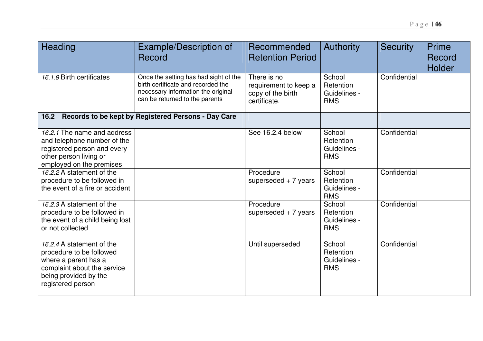| Heading                                                                                                                                                    | Example/Description of<br>Record                                                                                                                    | Recommended<br><b>Retention Period</b>                                    | <b>Authority</b>                                  | <b>Security</b> | <b>Prime</b><br>Record<br><b>Holder</b> |
|------------------------------------------------------------------------------------------------------------------------------------------------------------|-----------------------------------------------------------------------------------------------------------------------------------------------------|---------------------------------------------------------------------------|---------------------------------------------------|-----------------|-----------------------------------------|
| 16.1.9 Birth certificates                                                                                                                                  | Once the setting has had sight of the<br>birth certificate and recorded the<br>necessary information the original<br>can be returned to the parents | There is no<br>requirement to keep a<br>copy of the birth<br>certificate. | School<br>Retention<br>Guidelines -<br><b>RMS</b> | Confidential    |                                         |
| 16.2                                                                                                                                                       | Records to be kept by Registered Persons - Day Care                                                                                                 |                                                                           |                                                   |                 |                                         |
| 16.2.1 The name and address<br>and telephone number of the<br>registered person and every<br>other person living or<br>employed on the premises            |                                                                                                                                                     | See 16.2.4 below                                                          | School<br>Retention<br>Guidelines -<br><b>RMS</b> | Confidential    |                                         |
| 16.2.2 A statement of the<br>procedure to be followed in<br>the event of a fire or accident                                                                |                                                                                                                                                     | Procedure<br>superseded $+ 7$ years                                       | School<br>Retention<br>Guidelines -<br><b>RMS</b> | Confidential    |                                         |
| 16.2.3 A statement of the<br>procedure to be followed in<br>the event of a child being lost<br>or not collected                                            |                                                                                                                                                     | Procedure<br>superseded $+ 7$ years                                       | School<br>Retention<br>Guidelines -<br><b>RMS</b> | Confidential    |                                         |
| 16.2.4 A statement of the<br>procedure to be followed<br>where a parent has a<br>complaint about the service<br>being provided by the<br>registered person |                                                                                                                                                     | Until superseded                                                          | School<br>Retention<br>Guidelines -<br><b>RMS</b> | Confidential    |                                         |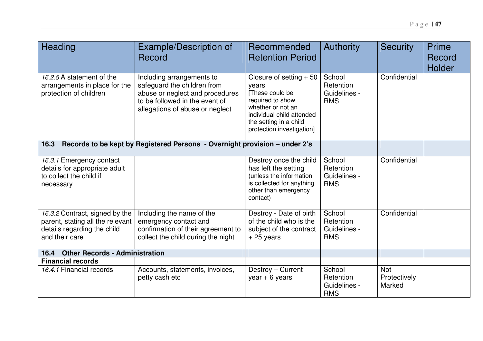| Heading                                                                                                             | Example/Description of                                                                                                                                           | Recommended                                                                                                                                                                       | <b>Authority</b>                                  | <b>Security</b>                      | <b>Prime</b>  |
|---------------------------------------------------------------------------------------------------------------------|------------------------------------------------------------------------------------------------------------------------------------------------------------------|-----------------------------------------------------------------------------------------------------------------------------------------------------------------------------------|---------------------------------------------------|--------------------------------------|---------------|
|                                                                                                                     | Record                                                                                                                                                           | <b>Retention Period</b>                                                                                                                                                           |                                                   |                                      | Record        |
|                                                                                                                     |                                                                                                                                                                  |                                                                                                                                                                                   |                                                   |                                      | <b>Holder</b> |
| 16.2.5 A statement of the<br>arrangements in place for the<br>protection of children                                | Including arrangements to<br>safeguard the children from<br>abuse or neglect and procedures<br>to be followed in the event of<br>allegations of abuse or neglect | Closure of setting $+50$<br>years<br>[These could be<br>required to show<br>whether or not an<br>individual child attended<br>the setting in a child<br>protection investigation] | School<br>Retention<br>Guidelines -<br><b>RMS</b> | Confidential                         |               |
| 16.3                                                                                                                | Records to be kept by Registered Persons - Overnight provision - under 2's                                                                                       |                                                                                                                                                                                   |                                                   |                                      |               |
| 16.3.1 Emergency contact<br>details for appropriate adult<br>to collect the child if<br>necessary                   |                                                                                                                                                                  | Destroy once the child<br>has left the setting<br>(unless the information<br>is collected for anything<br>other than emergency<br>contact)                                        | School<br>Retention<br>Guidelines -<br><b>RMS</b> | Confidential                         |               |
| 16.3.2 Contract, signed by the<br>parent, stating all the relevant<br>details regarding the child<br>and their care | Including the name of the<br>emergency contact and<br>confirmation of their agreement to<br>collect the child during the night                                   | Destroy - Date of birth<br>of the child who is the<br>subject of the contract<br>$+25$ years                                                                                      | School<br>Retention<br>Guidelines -<br><b>RMS</b> | Confidential                         |               |
| <b>Other Records - Administration</b><br>16.4                                                                       |                                                                                                                                                                  |                                                                                                                                                                                   |                                                   |                                      |               |
| <b>Financial records</b>                                                                                            |                                                                                                                                                                  |                                                                                                                                                                                   |                                                   |                                      |               |
| 16.4.1 Financial records                                                                                            | Accounts, statements, invoices,<br>petty cash etc                                                                                                                | Destroy - Current<br>$year + 6 years$                                                                                                                                             | School<br>Retention<br>Guidelines -<br><b>RMS</b> | <b>Not</b><br>Protectively<br>Marked |               |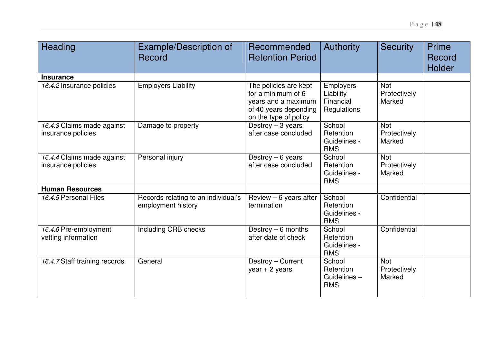| <b>Heading</b>                                   | Example/Description of<br>Record                          | Recommended<br><b>Retention Period</b>                                                                               | <b>Authority</b>                                          | <b>Security</b>                      | <b>Prime</b><br>Record<br>Holder |
|--------------------------------------------------|-----------------------------------------------------------|----------------------------------------------------------------------------------------------------------------------|-----------------------------------------------------------|--------------------------------------|----------------------------------|
| <b>Insurance</b>                                 |                                                           |                                                                                                                      |                                                           |                                      |                                  |
| 16.4.2 Insurance policies                        | <b>Employers Liability</b>                                | The policies are kept<br>for a minimum of 6<br>years and a maximum<br>of 40 years depending<br>on the type of policy | <b>Employers</b><br>Liability<br>Financial<br>Regulations | <b>Not</b><br>Protectively<br>Marked |                                  |
| 16.4.3 Claims made against<br>insurance policies | Damage to property                                        | Destroy $-3$ years<br>after case concluded                                                                           | School<br>Retention<br>Guidelines -<br><b>RMS</b>         | <b>Not</b><br>Protectively<br>Marked |                                  |
| 16.4.4 Claims made against<br>insurance policies | Personal injury                                           | Destroy $-6$ years<br>after case concluded                                                                           | School<br>Retention<br>Guidelines -<br><b>RMS</b>         | <b>Not</b><br>Protectively<br>Marked |                                  |
| <b>Human Resources</b>                           |                                                           |                                                                                                                      |                                                           |                                      |                                  |
| 16.4.5 Personal Files                            | Records relating to an individual's<br>employment history | Review $-6$ years after<br>termination                                                                               | School<br>Retention<br>Guidelines -<br><b>RMS</b>         | Confidential                         |                                  |
| 16.4.6 Pre-employment<br>vetting information     | Including CRB checks                                      | Destroy $-6$ months<br>after date of check                                                                           | School<br>Retention<br>Guidelines -<br><b>RMS</b>         | Confidential                         |                                  |
| 16.4.7 Staff training records                    | General                                                   | Destroy - Current<br>$year + 2 years$                                                                                | School<br>Retention<br>Guidelines-                        | <b>Not</b><br>Protectively<br>Marked |                                  |

RMS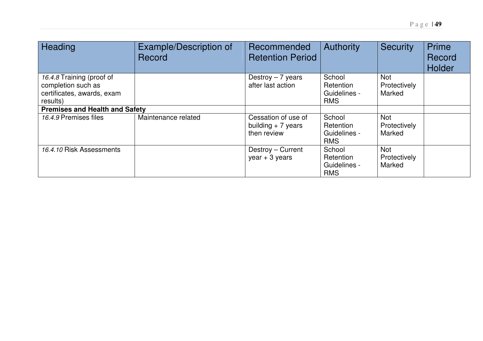| Heading                                                                                   | <b>Example/Description of</b><br>Record | Recommended<br><b>Retention Period</b>                     | Authority                                         | <b>Security</b>                      | Prime<br>Record<br>Holder |
|-------------------------------------------------------------------------------------------|-----------------------------------------|------------------------------------------------------------|---------------------------------------------------|--------------------------------------|---------------------------|
| 16.4.8 Training (proof of<br>completion such as<br>certificates, awards, exam<br>results) |                                         | Destroy $-7$ years<br>after last action                    | School<br>Retention<br>Guidelines -<br><b>RMS</b> | <b>Not</b><br>Protectively<br>Marked |                           |
| <b>Premises and Health and Safety</b>                                                     |                                         |                                                            |                                                   |                                      |                           |
| 16.4.9 Premises files                                                                     | Maintenance related                     | Cessation of use of<br>building $+ 7$ years<br>then review | School<br>Retention<br>Guidelines -<br><b>RMS</b> | <b>Not</b><br>Protectively<br>Marked |                           |
| 16.4.10 Risk Assessments                                                                  |                                         | Destroy - Current<br>$year + 3 years$                      | School<br>Retention<br>Guidelines -<br><b>RMS</b> | <b>Not</b><br>Protectively<br>Marked |                           |